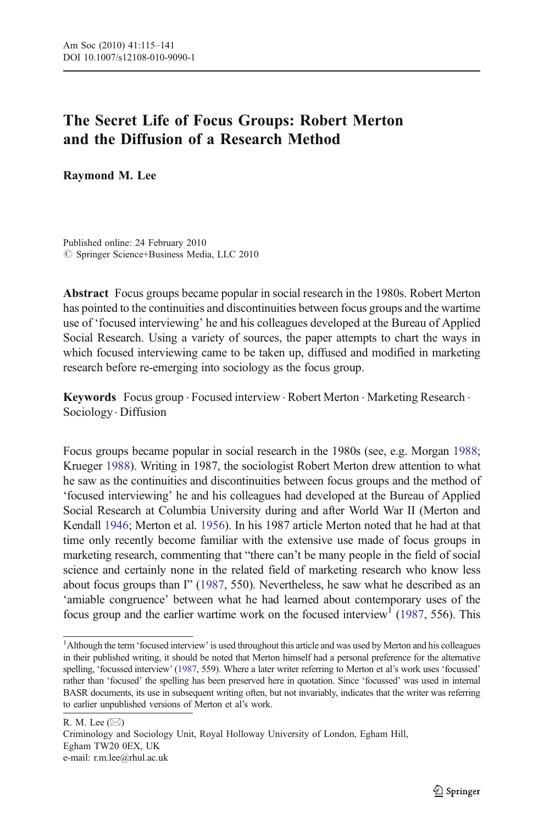# The Secret Life of Focus Groups: Robert Merton and the Diffusion of a Research Method

Raymond M. Lee

Published online: 24 February 2010  $\oslash$  Springer Science+Business Media, LLC 2010

Abstract Focus groups became popular in social research in the 1980s. Robert Merton has pointed to the continuities and discontinuities between focus groups and the wartime use of 'focused interviewing' he and his colleagues developed at the Bureau of Applied Social Research. Using a variety of sources, the paper attempts to chart the ways in which focused interviewing came to be taken up, diffused and modified in marketing research before re-emerging into sociology as the focus group.

Keywords Focus group . Focused interview. Robert Merton . Marketing Research . Sociology . Diffusion

Focus groups became popular in social research in the 1980s (see, e.g. Morgan 1988; Krueger 1988). Writing in 1987, the sociologist Robert Merton drew attention to what he saw as the continuities and discontinuities between focus groups and the method of 'focused interviewing' he and his colleagues had developed at the Bureau of Applied Social Research at Columbia University during and after World War II (Merton and Kendall 1946; Merton et al. 1956). In his 1987 article Merton noted that he had at that time only recently become familiar with the extensive use made of focus groups in marketing research, commenting that "there can't be many people in the field of social science and certainly none in the related field of marketing research who know less about focus groups than I" (1987, 550). Nevertheless, he saw what he described as an 'amiable congruence' between what he had learned about contemporary uses of the focus group and the earlier wartime work on the focused interview<sup>1</sup> (1987, 556). This

Criminology and Sociology Unit, Royal Holloway University of London, Egham Hill, Egham TW20 0EX, UK e-mail: r.m.lee@rhul.ac.uk

<sup>&</sup>lt;sup>1</sup> Although the term 'focused interview' is used throughout this article and was used by Merton and his colleagues in their published writing, it should be noted that Merton himself had a personal preference for the alternative spelling, 'focussed interview' (1987, 559). Where a later writer referring to Merton et al's work uses 'focussed' rather than 'focused' the spelling has been preserved here in quotation. Since 'focussed' was used in internal BASR documents, its use in subsequent writing often, but not invariably, indicates that the writer was referring to earlier unpublished versions of Merton et al's work.

R. M. Lee  $(\boxtimes)$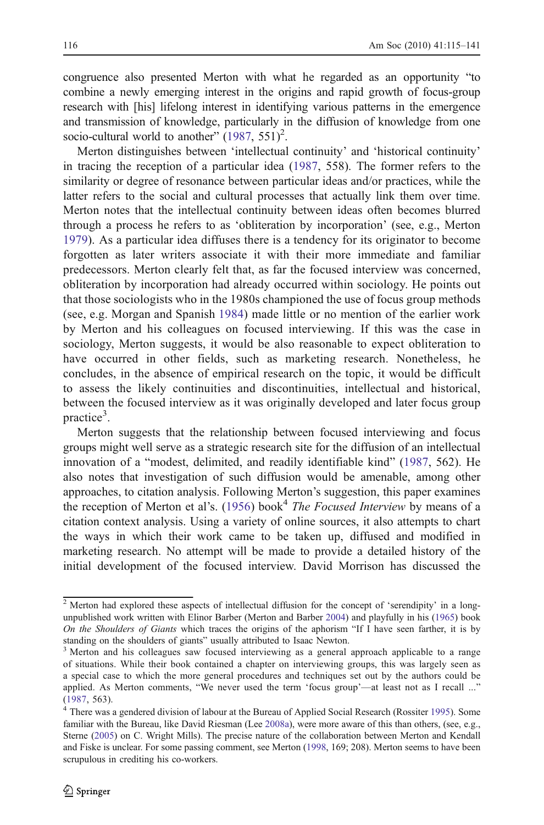congruence also presented Merton with what he regarded as an opportunity "to combine a newly emerging interest in the origins and rapid growth of focus-group research with [his] lifelong interest in identifying various patterns in the emergence and transmission of knowledge, particularly in the diffusion of knowledge from one socio-cultural world to another"  $(1987, 551)^2$ .

Merton distinguishes between 'intellectual continuity' and 'historical continuity' in tracing the reception of a particular idea (1987, 558). The former refers to the similarity or degree of resonance between particular ideas and/or practices, while the latter refers to the social and cultural processes that actually link them over time. Merton notes that the intellectual continuity between ideas often becomes blurred through a process he refers to as 'obliteration by incorporation' (see, e.g., Merton 1979). As a particular idea diffuses there is a tendency for its originator to become forgotten as later writers associate it with their more immediate and familiar predecessors. Merton clearly felt that, as far the focused interview was concerned, obliteration by incorporation had already occurred within sociology. He points out that those sociologists who in the 1980s championed the use of focus group methods (see, e.g. Morgan and Spanish 1984) made little or no mention of the earlier work by Merton and his colleagues on focused interviewing. If this was the case in sociology, Merton suggests, it would be also reasonable to expect obliteration to have occurred in other fields, such as marketing research. Nonetheless, he concludes, in the absence of empirical research on the topic, it would be difficult to assess the likely continuities and discontinuities, intellectual and historical, between the focused interview as it was originally developed and later focus group practice<sup>3</sup>.

Merton suggests that the relationship between focused interviewing and focus groups might well serve as a strategic research site for the diffusion of an intellectual innovation of a "modest, delimited, and readily identifiable kind" (1987, 562). He also notes that investigation of such diffusion would be amenable, among other approaches, to citation analysis. Following Merton's suggestion, this paper examines the reception of Merton et al's. (1956) book<sup>4</sup> The Focused Interview by means of a citation context analysis. Using a variety of online sources, it also attempts to chart the ways in which their work came to be taken up, diffused and modified in marketing research. No attempt will be made to provide a detailed history of the initial development of the focused interview. David Morrison has discussed the

<sup>&</sup>lt;sup>2</sup> Merton had explored these aspects of intellectual diffusion for the concept of 'serendipity' in a longunpublished work written with Elinor Barber (Merton and Barber 2004) and playfully in his (1965) book On the Shoulders of Giants which traces the origins of the aphorism "If I have seen farther, it is by standing on the shoulders of giants" usually attributed to Isaac Newton.<br> $3$  Merton and his colleagues saw focused interviewing as a general approach applicable to a range

of situations. While their book contained a chapter on interviewing groups, this was largely seen as a special case to which the more general procedures and techniques set out by the authors could be applied. As Merton comments, "We never used the term 'focus group'—at least not as I recall ..." (1987, 563).

<sup>4</sup> There was a gendered division of labour at the Bureau of Applied Social Research (Rossiter 1995). Some familiar with the Bureau, like David Riesman (Lee 2008a), were more aware of this than others, (see, e.g., Sterne (2005) on C. Wright Mills). The precise nature of the collaboration between Merton and Kendall and Fiske is unclear. For some passing comment, see Merton (1998, 169; 208). Merton seems to have been scrupulous in crediting his co-workers.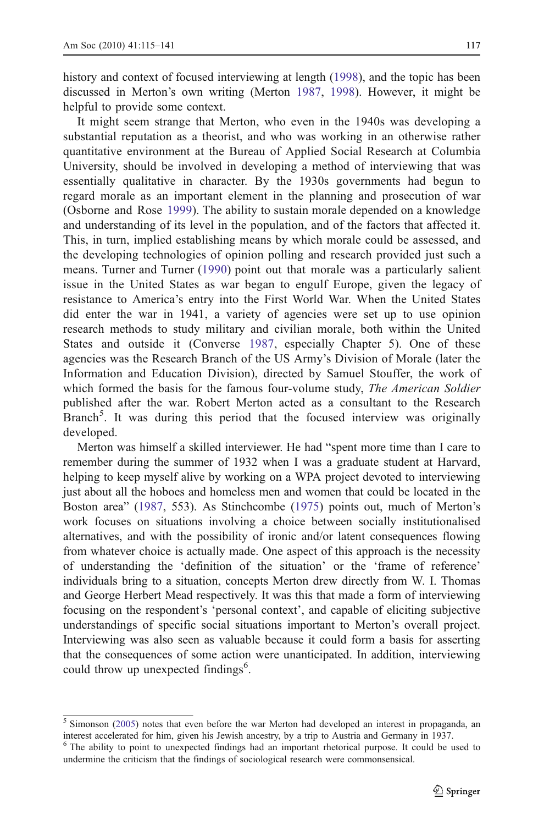history and context of focused interviewing at length (1998), and the topic has been discussed in Merton's own writing (Merton 1987, 1998). However, it might be helpful to provide some context.

It might seem strange that Merton, who even in the 1940s was developing a substantial reputation as a theorist, and who was working in an otherwise rather quantitative environment at the Bureau of Applied Social Research at Columbia University, should be involved in developing a method of interviewing that was essentially qualitative in character. By the 1930s governments had begun to regard morale as an important element in the planning and prosecution of war (Osborne and Rose 1999). The ability to sustain morale depended on a knowledge and understanding of its level in the population, and of the factors that affected it. This, in turn, implied establishing means by which morale could be assessed, and the developing technologies of opinion polling and research provided just such a means. Turner and Turner (1990) point out that morale was a particularly salient issue in the United States as war began to engulf Europe, given the legacy of resistance to America's entry into the First World War. When the United States did enter the war in 1941, a variety of agencies were set up to use opinion research methods to study military and civilian morale, both within the United States and outside it (Converse 1987, especially Chapter 5). One of these agencies was the Research Branch of the US Army's Division of Morale (later the Information and Education Division), directed by Samuel Stouffer, the work of which formed the basis for the famous four-volume study, *The American Soldier* published after the war. Robert Merton acted as a consultant to the Research Branch<sup>5</sup>. It was during this period that the focused interview was originally developed.

Merton was himself a skilled interviewer. He had "spent more time than I care to remember during the summer of 1932 when I was a graduate student at Harvard, helping to keep myself alive by working on a WPA project devoted to interviewing just about all the hoboes and homeless men and women that could be located in the Boston area" (1987, 553). As Stinchcombe (1975) points out, much of Merton's work focuses on situations involving a choice between socially institutionalised alternatives, and with the possibility of ironic and/or latent consequences flowing from whatever choice is actually made. One aspect of this approach is the necessity of understanding the 'definition of the situation' or the 'frame of reference' individuals bring to a situation, concepts Merton drew directly from W. I. Thomas and George Herbert Mead respectively. It was this that made a form of interviewing focusing on the respondent's 'personal context', and capable of eliciting subjective understandings of specific social situations important to Merton's overall project. Interviewing was also seen as valuable because it could form a basis for asserting that the consequences of some action were unanticipated. In addition, interviewing could throw up unexpected findings<sup>6</sup>.

<sup>5</sup> Simonson (2005) notes that even before the war Merton had developed an interest in propaganda, an interest accelerated for him, given his Jewish ancestry, by a trip to Austria and Germany in 1937.

<sup>&</sup>lt;sup>6</sup> The ability to point to unexpected findings had an important rhetorical purpose. It could be used to undermine the criticism that the findings of sociological research were commonsensical.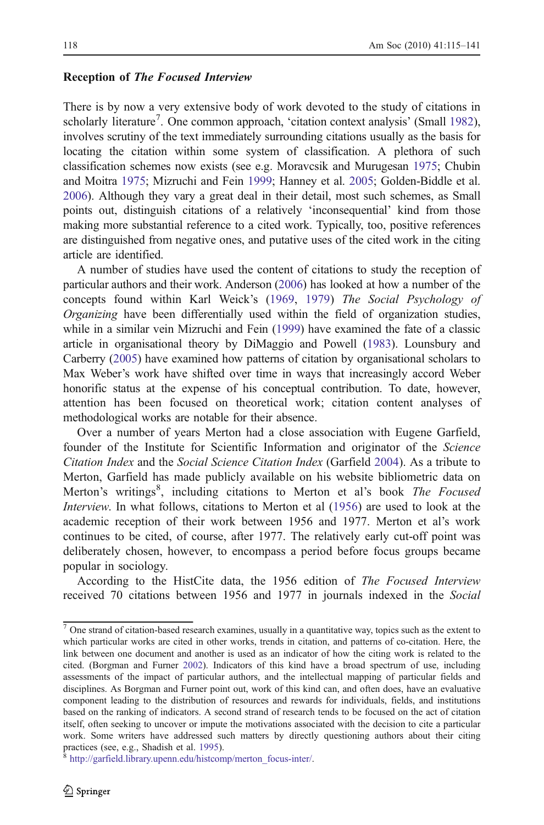## Reception of The Focused Interview

There is by now a very extensive body of work devoted to the study of citations in scholarly literature<sup>7</sup>. One common approach, 'citation context analysis' (Small 1982), involves scrutiny of the text immediately surrounding citations usually as the basis for locating the citation within some system of classification. A plethora of such classification schemes now exists (see e.g. Moravcsik and Murugesan 1975; Chubin and Moitra 1975; Mizruchi and Fein 1999; Hanney et al. 2005; Golden-Biddle et al. 2006). Although they vary a great deal in their detail, most such schemes, as Small points out, distinguish citations of a relatively 'inconsequential' kind from those making more substantial reference to a cited work. Typically, too, positive references are distinguished from negative ones, and putative uses of the cited work in the citing article are identified.

A number of studies have used the content of citations to study the reception of particular authors and their work. Anderson (2006) has looked at how a number of the concepts found within Karl Weick's (1969, 1979) The Social Psychology of Organizing have been differentially used within the field of organization studies, while in a similar vein Mizruchi and Fein (1999) have examined the fate of a classic article in organisational theory by DiMaggio and Powell (1983). Lounsbury and Carberry (2005) have examined how patterns of citation by organisational scholars to Max Weber's work have shifted over time in ways that increasingly accord Weber honorific status at the expense of his conceptual contribution. To date, however, attention has been focused on theoretical work; citation content analyses of methodological works are notable for their absence.

Over a number of years Merton had a close association with Eugene Garfield, founder of the Institute for Scientific Information and originator of the Science Citation Index and the Social Science Citation Index (Garfield 2004). As a tribute to Merton, Garfield has made publicly available on his website bibliometric data on Merton's writings<sup>8</sup>, including citations to Merton et al's book The Focused Interview. In what follows, citations to Merton et al (1956) are used to look at the academic reception of their work between 1956 and 1977. Merton et al's work continues to be cited, of course, after 1977. The relatively early cut-off point was deliberately chosen, however, to encompass a period before focus groups became popular in sociology.

According to the HistCite data, the 1956 edition of The Focused Interview received 70 citations between 1956 and 1977 in journals indexed in the Social

<sup>7</sup> One strand of citation-based research examines, usually in a quantitative way, topics such as the extent to which particular works are cited in other works, trends in citation, and patterns of co-citation. Here, the link between one document and another is used as an indicator of how the citing work is related to the cited. (Borgman and Furner 2002). Indicators of this kind have a broad spectrum of use, including assessments of the impact of particular authors, and the intellectual mapping of particular fields and disciplines. As Borgman and Furner point out, work of this kind can, and often does, have an evaluative component leading to the distribution of resources and rewards for individuals, fields, and institutions based on the ranking of indicators. A second strand of research tends to be focused on the act of citation itself, often seeking to uncover or impute the motivations associated with the decision to cite a particular work. Some writers have addressed such matters by directly questioning authors about their citing practices (see, e.g., Shadish et al. 1995).<br><sup>8</sup> [http://garfield.library.upenn.edu/histcomp/merton\\_focus-inter/](http://garfield.library.upenn.edu/histcomp/merton_focus-inter/).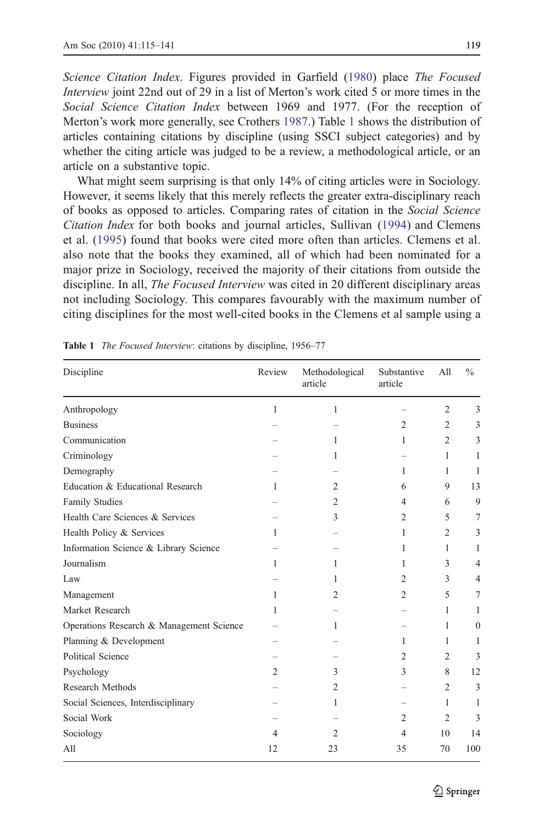Science Citation Index. Figures provided in Garfield (1980) place The Focused Interview joint 22nd out of 29 in a list of Merton's work cited 5 or more times in the Social Science Citation Index between 1969 and 1977. (For the reception of Merton's work more generally, see Crothers 1987.) Table 1 shows the distribution of articles containing citations by discipline (using SSCI subject categories) and by whether the citing article was judged to be a review, a methodological article, or an article on a substantive topic.

What might seem surprising is that only 14% of citing articles were in Sociology. However, it seems likely that this merely reflects the greater extra-disciplinary reach of books as opposed to articles. Comparing rates of citation in the Social Science Citation Index for both books and journal articles, Sullivan (1994) and Clemens et al. (1995) found that books were cited more often than articles. Clemens et al. also note that the books they examined, all of which had been nominated for a major prize in Sociology, received the majority of their citations from outside the discipline. In all, *The Focused Interview* was cited in 20 different disciplinary areas not including Sociology. This compares favourably with the maximum number of citing disciplines for the most well-cited books in the Clemens et al sample using a

| Discipline                               | Review         | Methodological<br>article | Substantive<br>article | A11            | $\frac{0}{0}$ |
|------------------------------------------|----------------|---------------------------|------------------------|----------------|---------------|
| Anthropology                             | 1              | 1                         |                        | 2              | 3             |
| <b>Business</b>                          |                |                           | 2                      | 2              | 3             |
| Communication                            |                | 1                         | 1                      | 2              | 3             |
| Criminology                              |                | 1                         |                        | 1              | 1             |
| Demography                               |                |                           | $\mathbf{1}$           | 1              | 1             |
| Education & Educational Research         | 1              | 2                         | 6                      | 9              | 13            |
| <b>Family Studies</b>                    |                | 2                         | $\overline{4}$         | 6              | 9             |
| Health Care Sciences & Services          |                | 3                         | 2                      | 5              | 7             |
| Health Policy & Services                 | 1              |                           | 1                      | $\overline{c}$ | 3             |
| Information Science & Library Science    |                |                           | 1                      | 1              | 1             |
| Journalism                               | 1              | 1                         | 1                      | 3              | 4             |
| Law                                      |                | 1                         | 2                      | 3              | 4             |
| Management                               | 1              | 2                         | $\overline{2}$         | 5              | 7             |
| Market Research                          | 1              |                           |                        | 1              | 1             |
| Operations Research & Management Science |                | 1                         |                        | 1              | $\mathbf{0}$  |
| Planning & Development                   |                |                           | 1                      | 1              | 1             |
| Political Science                        |                |                           | 2                      | 2              | 3             |
| Psychology                               | 2              | 3                         | 3                      | 8              | 12            |
| Research Methods                         |                | 2                         |                        | 2              | 3             |
| Social Sciences, Interdisciplinary       |                | 1                         |                        | 1              | 1             |
| Social Work                              |                |                           | 2                      | 2              | 3             |
| Sociology                                | $\overline{4}$ | 2                         | $\overline{4}$         | 10             | 14            |
| All                                      | 12             | 23                        | 35                     | 70             | 100           |

Table 1 The Focused Interview: citations by discipline, 1956–77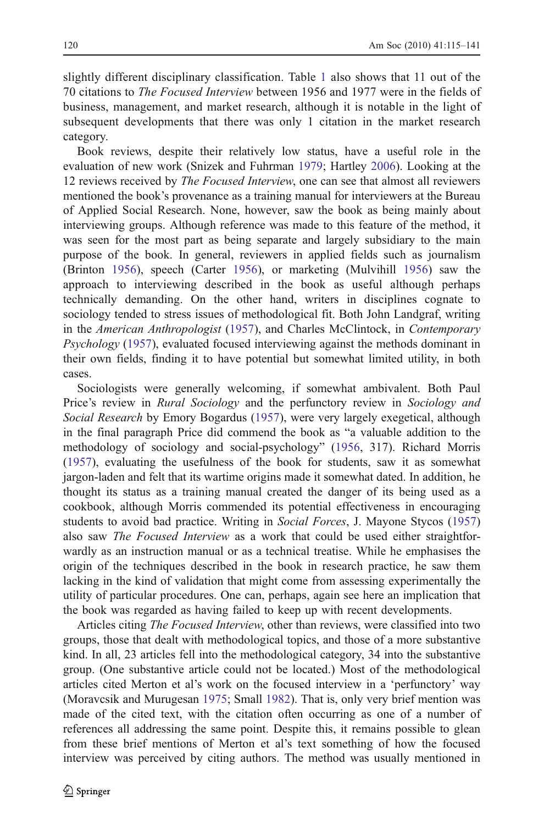slightly different disciplinary classification. Table 1 also shows that 11 out of the 70 citations to The Focused Interview between 1956 and 1977 were in the fields of business, management, and market research, although it is notable in the light of subsequent developments that there was only 1 citation in the market research category.

Book reviews, despite their relatively low status, have a useful role in the evaluation of new work (Snizek and Fuhrman 1979; Hartley 2006). Looking at the 12 reviews received by The Focused Interview, one can see that almost all reviewers mentioned the book's provenance as a training manual for interviewers at the Bureau of Applied Social Research. None, however, saw the book as being mainly about interviewing groups. Although reference was made to this feature of the method, it was seen for the most part as being separate and largely subsidiary to the main purpose of the book. In general, reviewers in applied fields such as journalism (Brinton 1956), speech (Carter 1956), or marketing (Mulvihill 1956) saw the approach to interviewing described in the book as useful although perhaps technically demanding. On the other hand, writers in disciplines cognate to sociology tended to stress issues of methodological fit. Both John Landgraf, writing in the American Anthropologist (1957), and Charles McClintock, in Contemporary Psychology (1957), evaluated focused interviewing against the methods dominant in their own fields, finding it to have potential but somewhat limited utility, in both cases.

Sociologists were generally welcoming, if somewhat ambivalent. Both Paul Price's review in Rural Sociology and the perfunctory review in Sociology and Social Research by Emory Bogardus (1957), were very largely exegetical, although in the final paragraph Price did commend the book as "a valuable addition to the methodology of sociology and social-psychology" (1956, 317). Richard Morris (1957), evaluating the usefulness of the book for students, saw it as somewhat jargon-laden and felt that its wartime origins made it somewhat dated. In addition, he thought its status as a training manual created the danger of its being used as a cookbook, although Morris commended its potential effectiveness in encouraging students to avoid bad practice. Writing in Social Forces, J. Mayone Stycos (1957) also saw *The Focused Interview* as a work that could be used either straightforwardly as an instruction manual or as a technical treatise. While he emphasises the origin of the techniques described in the book in research practice, he saw them lacking in the kind of validation that might come from assessing experimentally the utility of particular procedures. One can, perhaps, again see here an implication that the book was regarded as having failed to keep up with recent developments.

Articles citing The Focused Interview, other than reviews, were classified into two groups, those that dealt with methodological topics, and those of a more substantive kind. In all, 23 articles fell into the methodological category, 34 into the substantive group. (One substantive article could not be located.) Most of the methodological articles cited Merton et al's work on the focused interview in a 'perfunctory' way (Moravcsik and Murugesan 1975; Small 1982). That is, only very brief mention was made of the cited text, with the citation often occurring as one of a number of references all addressing the same point. Despite this, it remains possible to glean from these brief mentions of Merton et al's text something of how the focused interview was perceived by citing authors. The method was usually mentioned in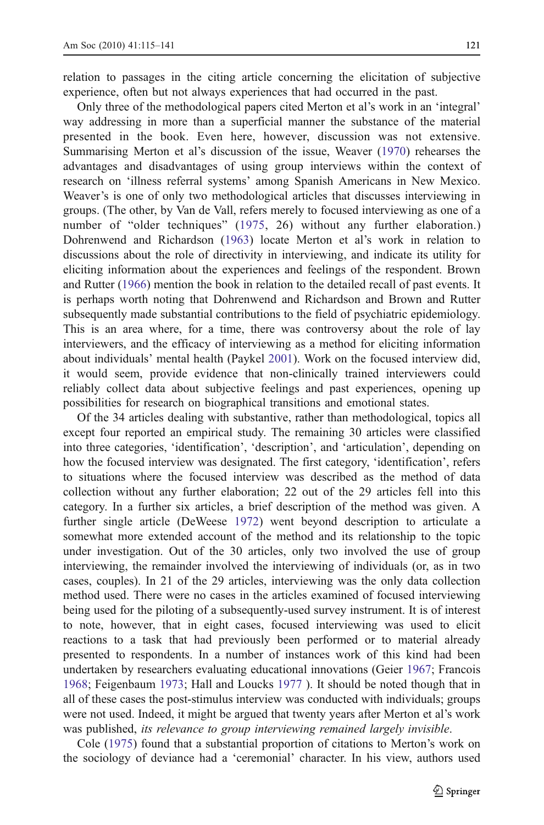relation to passages in the citing article concerning the elicitation of subjective experience, often but not always experiences that had occurred in the past.

Only three of the methodological papers cited Merton et al's work in an 'integral' way addressing in more than a superficial manner the substance of the material presented in the book. Even here, however, discussion was not extensive. Summarising Merton et al's discussion of the issue, Weaver (1970) rehearses the advantages and disadvantages of using group interviews within the context of research on 'illness referral systems' among Spanish Americans in New Mexico. Weaver's is one of only two methodological articles that discusses interviewing in groups. (The other, by Van de Vall, refers merely to focused interviewing as one of a number of "older techniques" (1975, 26) without any further elaboration.) Dohrenwend and Richardson (1963) locate Merton et al's work in relation to discussions about the role of directivity in interviewing, and indicate its utility for eliciting information about the experiences and feelings of the respondent. Brown and Rutter (1966) mention the book in relation to the detailed recall of past events. It is perhaps worth noting that Dohrenwend and Richardson and Brown and Rutter subsequently made substantial contributions to the field of psychiatric epidemiology. This is an area where, for a time, there was controversy about the role of lay interviewers, and the efficacy of interviewing as a method for eliciting information about individuals' mental health (Paykel 2001). Work on the focused interview did, it would seem, provide evidence that non-clinically trained interviewers could reliably collect data about subjective feelings and past experiences, opening up possibilities for research on biographical transitions and emotional states.

Of the 34 articles dealing with substantive, rather than methodological, topics all except four reported an empirical study. The remaining 30 articles were classified into three categories, 'identification', 'description', and 'articulation', depending on how the focused interview was designated. The first category, 'identification', refers to situations where the focused interview was described as the method of data collection without any further elaboration; 22 out of the 29 articles fell into this category. In a further six articles, a brief description of the method was given. A further single article (DeWeese 1972) went beyond description to articulate a somewhat more extended account of the method and its relationship to the topic under investigation. Out of the 30 articles, only two involved the use of group interviewing, the remainder involved the interviewing of individuals (or, as in two cases, couples). In 21 of the 29 articles, interviewing was the only data collection method used. There were no cases in the articles examined of focused interviewing being used for the piloting of a subsequently-used survey instrument. It is of interest to note, however, that in eight cases, focused interviewing was used to elicit reactions to a task that had previously been performed or to material already presented to respondents. In a number of instances work of this kind had been undertaken by researchers evaluating educational innovations (Geier 1967; Francois 1968; Feigenbaum 1973; Hall and Loucks 1977 ). It should be noted though that in all of these cases the post-stimulus interview was conducted with individuals; groups were not used. Indeed, it might be argued that twenty years after Merton et al's work was published, its relevance to group interviewing remained largely invisible.

Cole (1975) found that a substantial proportion of citations to Merton's work on the sociology of deviance had a 'ceremonial' character. In his view, authors used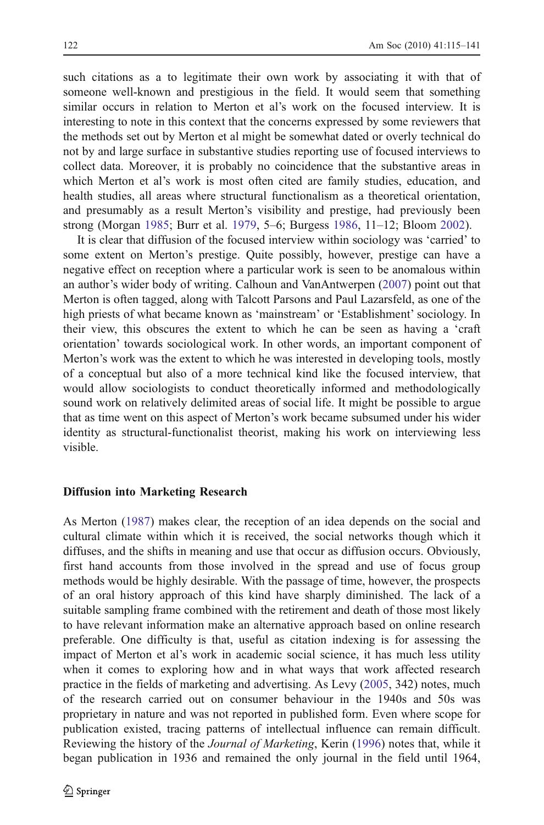such citations as a to legitimate their own work by associating it with that of someone well-known and prestigious in the field. It would seem that something similar occurs in relation to Merton et al's work on the focused interview. It is interesting to note in this context that the concerns expressed by some reviewers that the methods set out by Merton et al might be somewhat dated or overly technical do not by and large surface in substantive studies reporting use of focused interviews to collect data. Moreover, it is probably no coincidence that the substantive areas in which Merton et al's work is most often cited are family studies, education, and health studies, all areas where structural functionalism as a theoretical orientation, and presumably as a result Merton's visibility and prestige, had previously been strong (Morgan 1985; Burr et al. 1979, 5–6; Burgess 1986, 11–12; Bloom 2002).

It is clear that diffusion of the focused interview within sociology was 'carried' to some extent on Merton's prestige. Quite possibly, however, prestige can have a negative effect on reception where a particular work is seen to be anomalous within an author's wider body of writing. Calhoun and VanAntwerpen (2007) point out that Merton is often tagged, along with Talcott Parsons and Paul Lazarsfeld, as one of the high priests of what became known as 'mainstream' or 'Establishment' sociology. In their view, this obscures the extent to which he can be seen as having a 'craft orientation' towards sociological work. In other words, an important component of Merton's work was the extent to which he was interested in developing tools, mostly of a conceptual but also of a more technical kind like the focused interview, that would allow sociologists to conduct theoretically informed and methodologically sound work on relatively delimited areas of social life. It might be possible to argue that as time went on this aspect of Merton's work became subsumed under his wider identity as structural-functionalist theorist, making his work on interviewing less visible.

## Diffusion into Marketing Research

As Merton (1987) makes clear, the reception of an idea depends on the social and cultural climate within which it is received, the social networks though which it diffuses, and the shifts in meaning and use that occur as diffusion occurs. Obviously, first hand accounts from those involved in the spread and use of focus group methods would be highly desirable. With the passage of time, however, the prospects of an oral history approach of this kind have sharply diminished. The lack of a suitable sampling frame combined with the retirement and death of those most likely to have relevant information make an alternative approach based on online research preferable. One difficulty is that, useful as citation indexing is for assessing the impact of Merton et al's work in academic social science, it has much less utility when it comes to exploring how and in what ways that work affected research practice in the fields of marketing and advertising. As Levy (2005, 342) notes, much of the research carried out on consumer behaviour in the 1940s and 50s was proprietary in nature and was not reported in published form. Even where scope for publication existed, tracing patterns of intellectual influence can remain difficult. Reviewing the history of the *Journal of Marketing*, Kerin (1996) notes that, while it began publication in 1936 and remained the only journal in the field until 1964,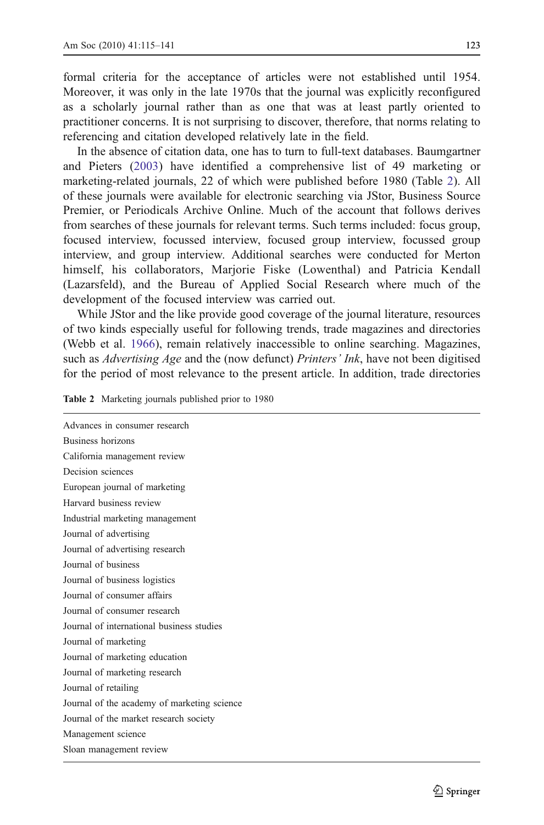formal criteria for the acceptance of articles were not established until 1954. Moreover, it was only in the late 1970s that the journal was explicitly reconfigured as a scholarly journal rather than as one that was at least partly oriented to practitioner concerns. It is not surprising to discover, therefore, that norms relating to referencing and citation developed relatively late in the field.

In the absence of citation data, one has to turn to full-text databases. Baumgartner and Pieters (2003) have identified a comprehensive list of 49 marketing or marketing-related journals, 22 of which were published before 1980 (Table 2). All of these journals were available for electronic searching via JStor, Business Source Premier, or Periodicals Archive Online. Much of the account that follows derives from searches of these journals for relevant terms. Such terms included: focus group, focused interview, focussed interview, focused group interview, focussed group interview, and group interview. Additional searches were conducted for Merton himself, his collaborators, Marjorie Fiske (Lowenthal) and Patricia Kendall (Lazarsfeld), and the Bureau of Applied Social Research where much of the development of the focused interview was carried out.

While JStor and the like provide good coverage of the journal literature, resources of two kinds especially useful for following trends, trade magazines and directories (Webb et al. 1966), remain relatively inaccessible to online searching. Magazines, such as *Advertising Age* and the (now defunct) *Printers' Ink*, have not been digitised for the period of most relevance to the present article. In addition, trade directories

| Advances in consumer research               |
|---------------------------------------------|
| Business horizons                           |
| California management review                |
| Decision sciences                           |
| European journal of marketing               |
| Harvard business review                     |
| Industrial marketing management             |
| Journal of advertising                      |
| Journal of advertising research             |
| Journal of business                         |
| Journal of business logistics               |
| Journal of consumer affairs                 |
| Journal of consumer research                |
| Journal of international business studies   |
| Journal of marketing                        |
| Journal of marketing education              |
| Journal of marketing research               |
| Journal of retailing                        |
| Journal of the academy of marketing science |
| Journal of the market research society      |
| Management science                          |
| Sloan management review                     |
|                                             |

Table 2 Marketing journals published prior to 1980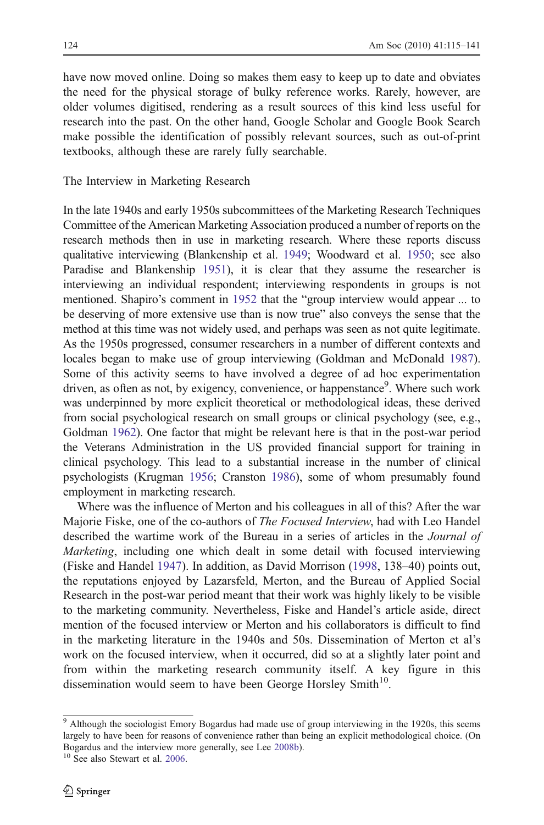have now moved online. Doing so makes them easy to keep up to date and obviates the need for the physical storage of bulky reference works. Rarely, however, are older volumes digitised, rendering as a result sources of this kind less useful for research into the past. On the other hand, Google Scholar and Google Book Search make possible the identification of possibly relevant sources, such as out-of-print textbooks, although these are rarely fully searchable.

The Interview in Marketing Research

In the late 1940s and early 1950s subcommittees of the Marketing Research Techniques Committee of the American Marketing Association produced a number of reports on the research methods then in use in marketing research. Where these reports discuss qualitative interviewing (Blankenship et al. 1949; Woodward et al. 1950; see also Paradise and Blankenship 1951), it is clear that they assume the researcher is interviewing an individual respondent; interviewing respondents in groups is not mentioned. Shapiro's comment in 1952 that the "group interview would appear ... to be deserving of more extensive use than is now true" also conveys the sense that the method at this time was not widely used, and perhaps was seen as not quite legitimate. As the 1950s progressed, consumer researchers in a number of different contexts and locales began to make use of group interviewing (Goldman and McDonald 1987). Some of this activity seems to have involved a degree of ad hoc experimentation driven, as often as not, by exigency, convenience, or happenstance<sup>9</sup>. Where such work was underpinned by more explicit theoretical or methodological ideas, these derived from social psychological research on small groups or clinical psychology (see, e.g., Goldman 1962). One factor that might be relevant here is that in the post-war period the Veterans Administration in the US provided financial support for training in clinical psychology. This lead to a substantial increase in the number of clinical psychologists (Krugman 1956; Cranston 1986), some of whom presumably found employment in marketing research.

Where was the influence of Merton and his colleagues in all of this? After the war Majorie Fiske, one of the co-authors of *The Focused Interview*, had with Leo Handel described the wartime work of the Bureau in a series of articles in the Journal of Marketing, including one which dealt in some detail with focused interviewing (Fiske and Handel 1947). In addition, as David Morrison (1998, 138–40) points out, the reputations enjoyed by Lazarsfeld, Merton, and the Bureau of Applied Social Research in the post-war period meant that their work was highly likely to be visible to the marketing community. Nevertheless, Fiske and Handel's article aside, direct mention of the focused interview or Merton and his collaborators is difficult to find in the marketing literature in the 1940s and 50s. Dissemination of Merton et al's work on the focused interview, when it occurred, did so at a slightly later point and from within the marketing research community itself. A key figure in this dissemination would seem to have been George Horsley Smith<sup>10</sup>.

<sup>&</sup>lt;sup>9</sup> Although the sociologist Emory Bogardus had made use of group interviewing in the 1920s, this seems largely to have been for reasons of convenience rather than being an explicit methodological choice. (On Bogardus and the interview more generally, see Lee 2008b).<br><sup>10</sup> See also Stewart et al. 2006.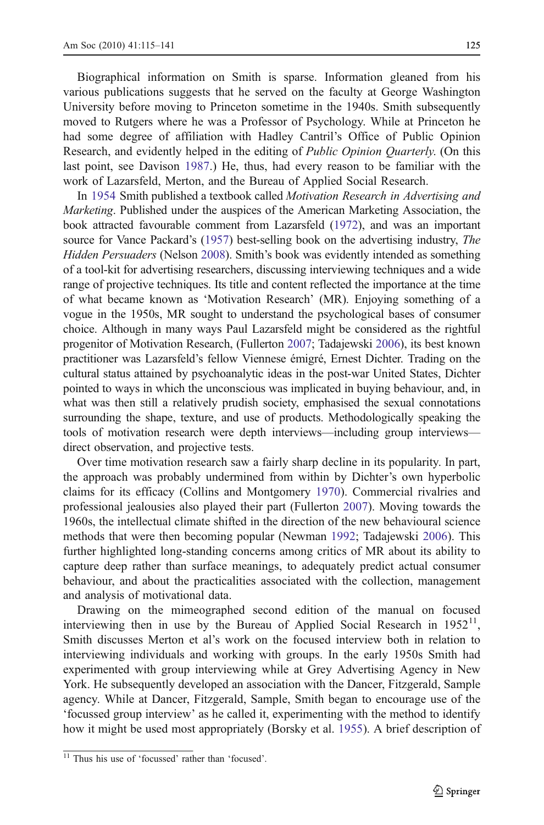Biographical information on Smith is sparse. Information gleaned from his various publications suggests that he served on the faculty at George Washington University before moving to Princeton sometime in the 1940s. Smith subsequently moved to Rutgers where he was a Professor of Psychology. While at Princeton he had some degree of affiliation with Hadley Cantril's Office of Public Opinion Research, and evidently helped in the editing of Public Opinion Quarterly. (On this last point, see Davison 1987.) He, thus, had every reason to be familiar with the work of Lazarsfeld, Merton, and the Bureau of Applied Social Research.

In 1954 Smith published a textbook called Motivation Research in Advertising and Marketing. Published under the auspices of the American Marketing Association, the book attracted favourable comment from Lazarsfeld (1972), and was an important source for Vance Packard's (1957) best-selling book on the advertising industry, The Hidden Persuaders (Nelson 2008). Smith's book was evidently intended as something of a tool-kit for advertising researchers, discussing interviewing techniques and a wide range of projective techniques. Its title and content reflected the importance at the time of what became known as 'Motivation Research' (MR). Enjoying something of a vogue in the 1950s, MR sought to understand the psychological bases of consumer choice. Although in many ways Paul Lazarsfeld might be considered as the rightful progenitor of Motivation Research, (Fullerton 2007; Tadajewski 2006), its best known practitioner was Lazarsfeld's fellow Viennese émigré, Ernest Dichter. Trading on the cultural status attained by psychoanalytic ideas in the post-war United States, Dichter pointed to ways in which the unconscious was implicated in buying behaviour, and, in what was then still a relatively prudish society, emphasised the sexual connotations surrounding the shape, texture, and use of products. Methodologically speaking the tools of motivation research were depth interviews—including group interviews direct observation, and projective tests.

Over time motivation research saw a fairly sharp decline in its popularity. In part, the approach was probably undermined from within by Dichter's own hyperbolic claims for its efficacy (Collins and Montgomery 1970). Commercial rivalries and professional jealousies also played their part (Fullerton 2007). Moving towards the 1960s, the intellectual climate shifted in the direction of the new behavioural science methods that were then becoming popular (Newman 1992; Tadajewski 2006). This further highlighted long-standing concerns among critics of MR about its ability to capture deep rather than surface meanings, to adequately predict actual consumer behaviour, and about the practicalities associated with the collection, management and analysis of motivational data.

Drawing on the mimeographed second edition of the manual on focused interviewing then in use by the Bureau of Applied Social Research in  $1952<sup>11</sup>$ , Smith discusses Merton et al's work on the focused interview both in relation to interviewing individuals and working with groups. In the early 1950s Smith had experimented with group interviewing while at Grey Advertising Agency in New York. He subsequently developed an association with the Dancer, Fitzgerald, Sample agency. While at Dancer, Fitzgerald, Sample, Smith began to encourage use of the 'focussed group interview' as he called it, experimenting with the method to identify how it might be used most appropriately (Borsky et al. 1955). A brief description of

<sup>11</sup> Thus his use of 'focussed' rather than 'focused'.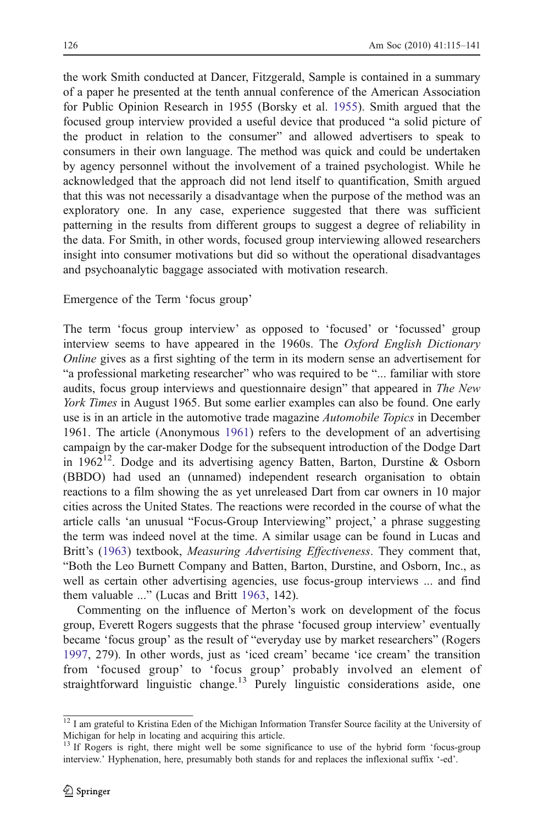the work Smith conducted at Dancer, Fitzgerald, Sample is contained in a summary of a paper he presented at the tenth annual conference of the American Association for Public Opinion Research in 1955 (Borsky et al. 1955). Smith argued that the focused group interview provided a useful device that produced "a solid picture of the product in relation to the consumer" and allowed advertisers to speak to consumers in their own language. The method was quick and could be undertaken by agency personnel without the involvement of a trained psychologist. While he acknowledged that the approach did not lend itself to quantification, Smith argued that this was not necessarily a disadvantage when the purpose of the method was an exploratory one. In any case, experience suggested that there was sufficient patterning in the results from different groups to suggest a degree of reliability in the data. For Smith, in other words, focused group interviewing allowed researchers insight into consumer motivations but did so without the operational disadvantages and psychoanalytic baggage associated with motivation research.

Emergence of the Term 'focus group'

The term 'focus group interview' as opposed to 'focused' or 'focussed' group interview seems to have appeared in the 1960s. The Oxford English Dictionary Online gives as a first sighting of the term in its modern sense an advertisement for "a professional marketing researcher" who was required to be "... familiar with store audits, focus group interviews and questionnaire design" that appeared in The New York Times in August 1965. But some earlier examples can also be found. One early use is in an article in the automotive trade magazine *Automobile Topics* in December 1961. The article (Anonymous 1961) refers to the development of an advertising campaign by the car-maker Dodge for the subsequent introduction of the Dodge Dart in 1962<sup>12</sup>. Dodge and its advertising agency Batten, Barton, Durstine & Osborn (BBDO) had used an (unnamed) independent research organisation to obtain reactions to a film showing the as yet unreleased Dart from car owners in 10 major cities across the United States. The reactions were recorded in the course of what the article calls 'an unusual "Focus-Group Interviewing" project,' a phrase suggesting the term was indeed novel at the time. A similar usage can be found in Lucas and Britt's (1963) textbook, Measuring Advertising Effectiveness. They comment that, "Both the Leo Burnett Company and Batten, Barton, Durstine, and Osborn, Inc., as well as certain other advertising agencies, use focus-group interviews ... and find them valuable ..." (Lucas and Britt 1963, 142).

Commenting on the influence of Merton's work on development of the focus group, Everett Rogers suggests that the phrase 'focused group interview' eventually became 'focus group' as the result of "everyday use by market researchers" (Rogers 1997, 279). In other words, just as 'iced cream' became 'ice cream' the transition from 'focused group' to 'focus group' probably involved an element of straightforward linguistic change.<sup>13</sup> Purely linguistic considerations aside, one

<sup>&</sup>lt;sup>12</sup> I am grateful to Kristina Eden of the Michigan Information Transfer Source facility at the University of Michigan for help in locating and acquiring this article.

<sup>&</sup>lt;sup>13</sup> If Rogers is right, there might well be some significance to use of the hybrid form 'focus-group interview.' Hyphenation, here, presumably both stands for and replaces the inflexional suffix '-ed'.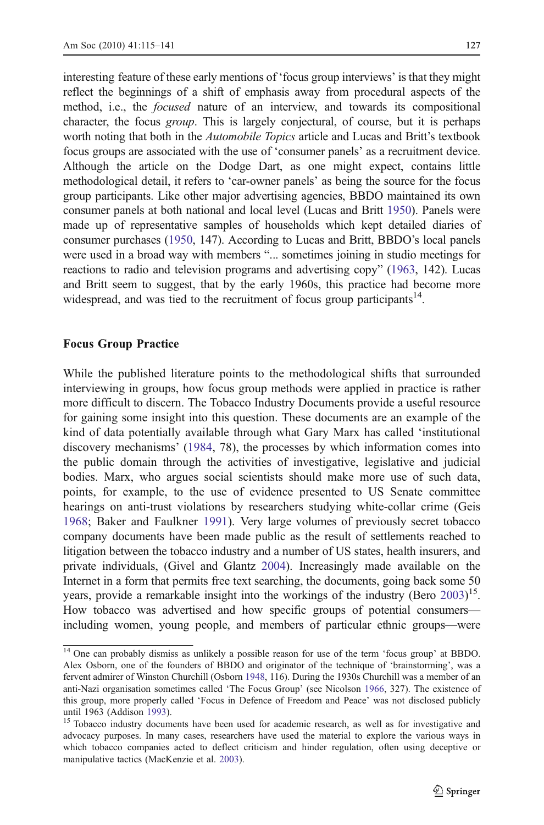interesting feature of these early mentions of 'focus group interviews' is that they might reflect the beginnings of a shift of emphasis away from procedural aspects of the method, i.e., the *focused* nature of an interview, and towards its compositional character, the focus group. This is largely conjectural, of course, but it is perhaps worth noting that both in the *Automobile Topics* article and Lucas and Britt's textbook focus groups are associated with the use of 'consumer panels' as a recruitment device. Although the article on the Dodge Dart, as one might expect, contains little methodological detail, it refers to 'car-owner panels' as being the source for the focus group participants. Like other major advertising agencies, BBDO maintained its own consumer panels at both national and local level (Lucas and Britt 1950). Panels were made up of representative samples of households which kept detailed diaries of consumer purchases (1950, 147). According to Lucas and Britt, BBDO's local panels were used in a broad way with members "... sometimes joining in studio meetings for reactions to radio and television programs and advertising copy" (1963, 142). Lucas and Britt seem to suggest, that by the early 1960s, this practice had become more widespread, and was tied to the recruitment of focus group participants<sup>14</sup>.

### Focus Group Practice

While the published literature points to the methodological shifts that surrounded interviewing in groups, how focus group methods were applied in practice is rather more difficult to discern. The Tobacco Industry Documents provide a useful resource for gaining some insight into this question. These documents are an example of the kind of data potentially available through what Gary Marx has called 'institutional discovery mechanisms' (1984, 78), the processes by which information comes into the public domain through the activities of investigative, legislative and judicial bodies. Marx, who argues social scientists should make more use of such data, points, for example, to the use of evidence presented to US Senate committee hearings on anti-trust violations by researchers studying white-collar crime (Geis 1968; Baker and Faulkner 1991). Very large volumes of previously secret tobacco company documents have been made public as the result of settlements reached to litigation between the tobacco industry and a number of US states, health insurers, and private individuals, (Givel and Glantz 2004). Increasingly made available on the Internet in a form that permits free text searching, the documents, going back some 50 years, provide a remarkable insight into the workings of the industry (Bero 2003)<sup>15</sup>. How tobacco was advertised and how specific groups of potential consumers including women, young people, and members of particular ethnic groups—were

<sup>&</sup>lt;sup>14</sup> One can probably dismiss as unlikely a possible reason for use of the term 'focus group' at BBDO. Alex Osborn, one of the founders of BBDO and originator of the technique of 'brainstorming', was a fervent admirer of Winston Churchill (Osborn 1948, 116). During the 1930s Churchill was a member of an anti-Nazi organisation sometimes called 'The Focus Group' (see Nicolson 1966, 327). The existence of this group, more properly called 'Focus in Defence of Freedom and Peace' was not disclosed publicly

until 1963 (Addison 1993).<br><sup>15</sup> Tobacco industry documents have been used for academic research, as well as for investigative and advocacy purposes. In many cases, researchers have used the material to explore the various ways in which tobacco companies acted to deflect criticism and hinder regulation, often using deceptive or manipulative tactics (MacKenzie et al. 2003).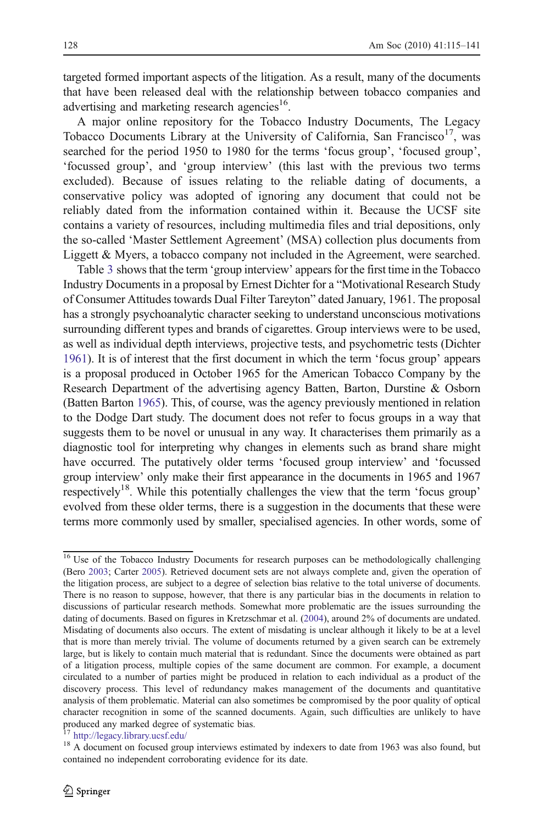targeted formed important aspects of the litigation. As a result, many of the documents that have been released deal with the relationship between tobacco companies and advertising and marketing research agencies<sup>16</sup>.

A major online repository for the Tobacco Industry Documents, The Legacy Tobacco Documents Library at the University of California, San Francisco<sup>17</sup>, was searched for the period 1950 to 1980 for the terms 'focus group', 'focused group', 'focussed group', and 'group interview' (this last with the previous two terms excluded). Because of issues relating to the reliable dating of documents, a conservative policy was adopted of ignoring any document that could not be reliably dated from the information contained within it. Because the UCSF site contains a variety of resources, including multimedia files and trial depositions, only the so-called 'Master Settlement Agreement' (MSA) collection plus documents from Liggett & Myers, a tobacco company not included in the Agreement, were searched.

Table 3 shows that the term 'group interview' appears for the first time in the Tobacco Industry Documents in a proposal by Ernest Dichter for a "Motivational Research Study of Consumer Attitudes towards Dual Filter Tareyton" dated January, 1961. The proposal has a strongly psychoanalytic character seeking to understand unconscious motivations surrounding different types and brands of cigarettes. Group interviews were to be used, as well as individual depth interviews, projective tests, and psychometric tests (Dichter 1961). It is of interest that the first document in which the term 'focus group' appears is a proposal produced in October 1965 for the American Tobacco Company by the Research Department of the advertising agency Batten, Barton, Durstine & Osborn (Batten Barton 1965). This, of course, was the agency previously mentioned in relation to the Dodge Dart study. The document does not refer to focus groups in a way that suggests them to be novel or unusual in any way. It characterises them primarily as a diagnostic tool for interpreting why changes in elements such as brand share might have occurred. The putatively older terms 'focused group interview' and 'focussed group interview' only make their first appearance in the documents in 1965 and 1967 respectively<sup>18</sup>. While this potentially challenges the view that the term 'focus group' evolved from these older terms, there is a suggestion in the documents that these were terms more commonly used by smaller, specialised agencies. In other words, some of

<sup>&</sup>lt;sup>16</sup> Use of the Tobacco Industry Documents for research purposes can be methodologically challenging (Bero 2003; Carter 2005). Retrieved document sets are not always complete and, given the operation of the litigation process, are subject to a degree of selection bias relative to the total universe of documents. There is no reason to suppose, however, that there is any particular bias in the documents in relation to discussions of particular research methods. Somewhat more problematic are the issues surrounding the dating of documents. Based on figures in Kretzschmar et al. (2004), around 2% of documents are undated. Misdating of documents also occurs. The extent of misdating is unclear although it likely to be at a level that is more than merely trivial. The volume of documents returned by a given search can be extremely large, but is likely to contain much material that is redundant. Since the documents were obtained as part of a litigation process, multiple copies of the same document are common. For example, a document circulated to a number of parties might be produced in relation to each individual as a product of the discovery process. This level of redundancy makes management of the documents and quantitative analysis of them problematic. Material can also sometimes be compromised by the poor quality of optical character recognition in some of the scanned documents. Again, such difficulties are unlikely to have produced any marked degree of systematic bias.

<sup>&</sup>lt;sup>17</sup> <http://legacy.library.ucsf.edu/><br><sup>18</sup> A document on focused group interviews estimated by indexers to date from 1963 was also found, but contained no independent corroborating evidence for its date.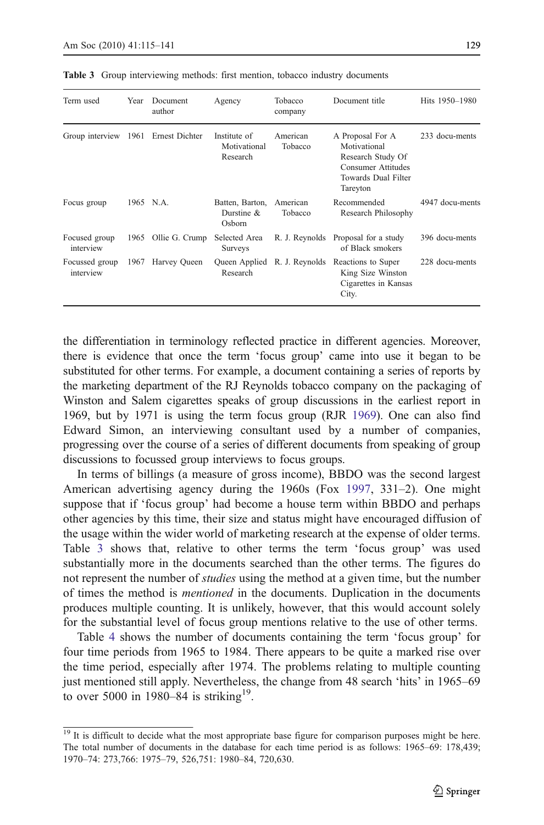| Term used                   | Year | Document<br>author  | Agency                                     | Tobacco<br>company  | Document title                                                                                                 | Hits 1950–1980  |
|-----------------------------|------|---------------------|--------------------------------------------|---------------------|----------------------------------------------------------------------------------------------------------------|-----------------|
| Group interview             |      | 1961 Ernest Dichter | Institute of<br>Motivational<br>Research   | American<br>Tobacco | A Proposal For A<br>Motivational<br>Research Study Of<br>Consumer Attitudes<br>Towards Dual Filter<br>Tareyton | 233 docu-ments  |
| Focus group                 |      | 1965 N.A.           | Batten, Barton,<br>Durstine $\&$<br>Osborn | American<br>Tobacco | Recommended<br>Research Philosophy                                                                             | 4947 docu-ments |
| Focused group<br>interview  | 1965 | Ollie G. Crump      | Selected Area<br><b>Surveys</b>            |                     | R. J. Reynolds Proposal for a study<br>of Black smokers                                                        | 396 docu-ments  |
| Focussed group<br>interview | 1967 | Harvey Queen        | Queen Applied<br>Research                  |                     | R. J. Reynolds Reactions to Super<br>King Size Winston<br>Cigarettes in Kansas<br>City.                        | 228 docu-ments  |

Table 3 Group interviewing methods: first mention, tobacco industry documents

the differentiation in terminology reflected practice in different agencies. Moreover, there is evidence that once the term 'focus group' came into use it began to be substituted for other terms. For example, a document containing a series of reports by the marketing department of the RJ Reynolds tobacco company on the packaging of Winston and Salem cigarettes speaks of group discussions in the earliest report in 1969, but by 1971 is using the term focus group (RJR 1969). One can also find Edward Simon, an interviewing consultant used by a number of companies, progressing over the course of a series of different documents from speaking of group discussions to focussed group interviews to focus groups.

In terms of billings (a measure of gross income), BBDO was the second largest American advertising agency during the 1960s (Fox 1997, 331–2). One might suppose that if 'focus group' had become a house term within BBDO and perhaps other agencies by this time, their size and status might have encouraged diffusion of the usage within the wider world of marketing research at the expense of older terms. Table 3 shows that, relative to other terms the term 'focus group' was used substantially more in the documents searched than the other terms. The figures do not represent the number of *studies* using the method at a given time, but the number of times the method is mentioned in the documents. Duplication in the documents produces multiple counting. It is unlikely, however, that this would account solely for the substantial level of focus group mentions relative to the use of other terms.

Table 4 shows the number of documents containing the term 'focus group' for four time periods from 1965 to 1984. There appears to be quite a marked rise over the time period, especially after 1974. The problems relating to multiple counting just mentioned still apply. Nevertheless, the change from 48 search 'hits' in 1965–69 to over 5000 in 1980–84 is striking<sup>19</sup>.

 $\frac{19}{19}$  It is difficult to decide what the most appropriate base figure for comparison purposes might be here. The total number of documents in the database for each time period is as follows: 1965–69: 178,439; 1970–74: 273,766: 1975–79, 526,751: 1980–84, 720,630.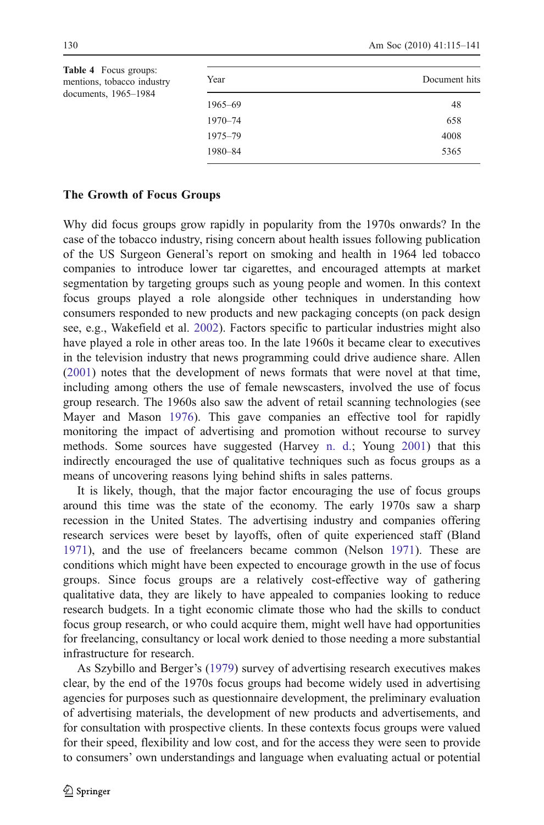| <b>Table 4</b> Focus groups:<br>mentions, tobacco industry<br>documents, 1965-1984 | Year    | Document hits |  |
|------------------------------------------------------------------------------------|---------|---------------|--|
|                                                                                    | 1965-69 | 48            |  |
|                                                                                    | 1970-74 | 658           |  |
|                                                                                    | 1975-79 | 4008          |  |
|                                                                                    | 1980-84 | 5365          |  |
|                                                                                    |         |               |  |

# The Growth of Focus Groups

Why did focus groups grow rapidly in popularity from the 1970s onwards? In the case of the tobacco industry, rising concern about health issues following publication of the US Surgeon General's report on smoking and health in 1964 led tobacco companies to introduce lower tar cigarettes, and encouraged attempts at market segmentation by targeting groups such as young people and women. In this context focus groups played a role alongside other techniques in understanding how consumers responded to new products and new packaging concepts (on pack design see, e.g., Wakefield et al. 2002). Factors specific to particular industries might also have played a role in other areas too. In the late 1960s it became clear to executives in the television industry that news programming could drive audience share. Allen (2001) notes that the development of news formats that were novel at that time, including among others the use of female newscasters, involved the use of focus group research. The 1960s also saw the advent of retail scanning technologies (see Mayer and Mason 1976). This gave companies an effective tool for rapidly monitoring the impact of advertising and promotion without recourse to survey methods. Some sources have suggested (Harvey n. d.; Young 2001) that this indirectly encouraged the use of qualitative techniques such as focus groups as a means of uncovering reasons lying behind shifts in sales patterns.

It is likely, though, that the major factor encouraging the use of focus groups around this time was the state of the economy. The early 1970s saw a sharp recession in the United States. The advertising industry and companies offering research services were beset by layoffs, often of quite experienced staff (Bland 1971), and the use of freelancers became common (Nelson 1971). These are conditions which might have been expected to encourage growth in the use of focus groups. Since focus groups are a relatively cost-effective way of gathering qualitative data, they are likely to have appealed to companies looking to reduce research budgets. In a tight economic climate those who had the skills to conduct focus group research, or who could acquire them, might well have had opportunities for freelancing, consultancy or local work denied to those needing a more substantial infrastructure for research.

As Szybillo and Berger's (1979) survey of advertising research executives makes clear, by the end of the 1970s focus groups had become widely used in advertising agencies for purposes such as questionnaire development, the preliminary evaluation of advertising materials, the development of new products and advertisements, and for consultation with prospective clients. In these contexts focus groups were valued for their speed, flexibility and low cost, and for the access they were seen to provide to consumers' own understandings and language when evaluating actual or potential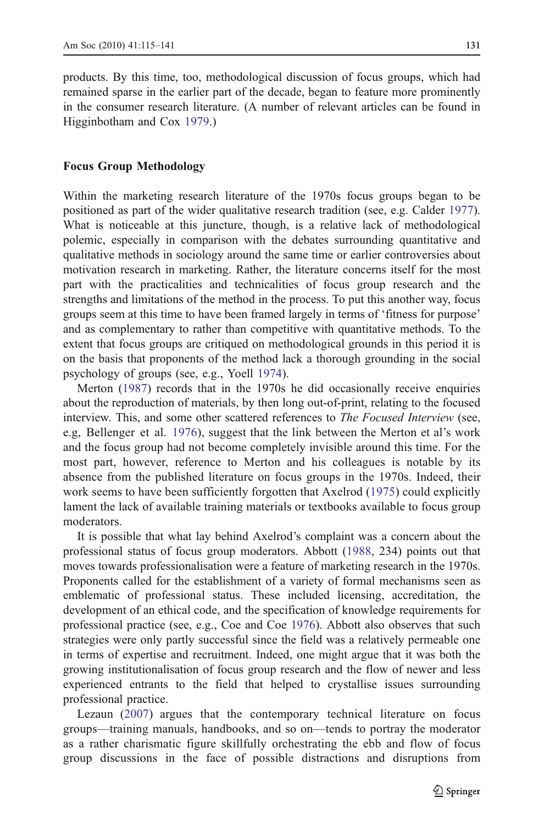products. By this time, too, methodological discussion of focus groups, which had remained sparse in the earlier part of the decade, began to feature more prominently in the consumer research literature. (A number of relevant articles can be found in Higginbotham and Cox 1979.)

## Focus Group Methodology

Within the marketing research literature of the 1970s focus groups began to be positioned as part of the wider qualitative research tradition (see, e.g. Calder 1977). What is noticeable at this juncture, though, is a relative lack of methodological polemic, especially in comparison with the debates surrounding quantitative and qualitative methods in sociology around the same time or earlier controversies about motivation research in marketing. Rather, the literature concerns itself for the most part with the practicalities and technicalities of focus group research and the strengths and limitations of the method in the process. To put this another way, focus groups seem at this time to have been framed largely in terms of 'fitness for purpose' and as complementary to rather than competitive with quantitative methods. To the extent that focus groups are critiqued on methodological grounds in this period it is on the basis that proponents of the method lack a thorough grounding in the social psychology of groups (see, e.g., Yoell 1974).

Merton (1987) records that in the 1970s he did occasionally receive enquiries about the reproduction of materials, by then long out-of-print, relating to the focused interview. This, and some other scattered references to *The Focused Interview* (see, e.g, Bellenger et al. 1976), suggest that the link between the Merton et al's work and the focus group had not become completely invisible around this time. For the most part, however, reference to Merton and his colleagues is notable by its absence from the published literature on focus groups in the 1970s. Indeed, their work seems to have been sufficiently forgotten that Axelrod (1975) could explicitly lament the lack of available training materials or textbooks available to focus group moderators.

It is possible that what lay behind Axelrod's complaint was a concern about the professional status of focus group moderators. Abbott (1988, 234) points out that moves towards professionalisation were a feature of marketing research in the 1970s. Proponents called for the establishment of a variety of formal mechanisms seen as emblematic of professional status. These included licensing, accreditation, the development of an ethical code, and the specification of knowledge requirements for professional practice (see, e.g., Coe and Coe 1976). Abbott also observes that such strategies were only partly successful since the field was a relatively permeable one in terms of expertise and recruitment. Indeed, one might argue that it was both the growing institutionalisation of focus group research and the flow of newer and less experienced entrants to the field that helped to crystallise issues surrounding professional practice.

Lezaun (2007) argues that the contemporary technical literature on focus groups—training manuals, handbooks, and so on—tends to portray the moderator as a rather charismatic figure skillfully orchestrating the ebb and flow of focus group discussions in the face of possible distractions and disruptions from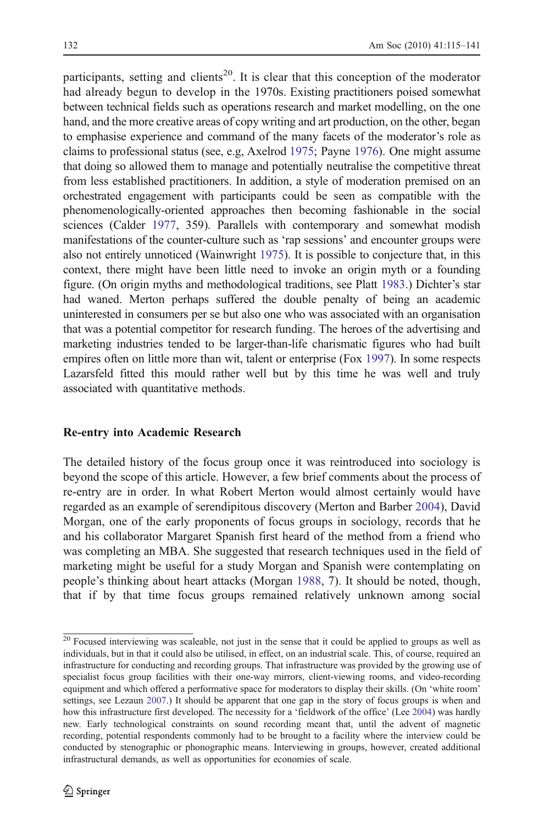participants, setting and clients<sup>20</sup>. It is clear that this conception of the moderator had already begun to develop in the 1970s. Existing practitioners poised somewhat between technical fields such as operations research and market modelling, on the one hand, and the more creative areas of copy writing and art production, on the other, began to emphasise experience and command of the many facets of the moderator's role as claims to professional status (see, e.g, Axelrod 1975; Payne 1976). One might assume that doing so allowed them to manage and potentially neutralise the competitive threat from less established practitioners. In addition, a style of moderation premised on an orchestrated engagement with participants could be seen as compatible with the phenomenologically-oriented approaches then becoming fashionable in the social sciences (Calder 1977, 359). Parallels with contemporary and somewhat modish manifestations of the counter-culture such as 'rap sessions' and encounter groups were also not entirely unnoticed (Wainwright 1975). It is possible to conjecture that, in this context, there might have been little need to invoke an origin myth or a founding figure. (On origin myths and methodological traditions, see Platt 1983.) Dichter's star had waned. Merton perhaps suffered the double penalty of being an academic uninterested in consumers per se but also one who was associated with an organisation that was a potential competitor for research funding. The heroes of the advertising and marketing industries tended to be larger-than-life charismatic figures who had built empires often on little more than wit, talent or enterprise (Fox 1997). In some respects Lazarsfeld fitted this mould rather well but by this time he was well and truly associated with quantitative methods.

## Re-entry into Academic Research

The detailed history of the focus group once it was reintroduced into sociology is beyond the scope of this article. However, a few brief comments about the process of re-entry are in order. In what Robert Merton would almost certainly would have regarded as an example of serendipitous discovery (Merton and Barber 2004), David Morgan, one of the early proponents of focus groups in sociology, records that he and his collaborator Margaret Spanish first heard of the method from a friend who was completing an MBA. She suggested that research techniques used in the field of marketing might be useful for a study Morgan and Spanish were contemplating on people's thinking about heart attacks (Morgan 1988, 7). It should be noted, though, that if by that time focus groups remained relatively unknown among social

 $\frac{20}{20}$  Focused interviewing was scaleable, not just in the sense that it could be applied to groups as well as individuals, but in that it could also be utilised, in effect, on an industrial scale. This, of course, required an infrastructure for conducting and recording groups. That infrastructure was provided by the growing use of specialist focus group facilities with their one-way mirrors, client-viewing rooms, and video-recording equipment and which offered a performative space for moderators to display their skills. (On 'white room' settings, see Lezaun 2007.) It should be apparent that one gap in the story of focus groups is when and how this infrastructure first developed. The necessity for a 'fieldwork of the office' (Lee 2004) was hardly new. Early technological constraints on sound recording meant that, until the advent of magnetic recording, potential respondents commonly had to be brought to a facility where the interview could be conducted by stenographic or phonographic means. Interviewing in groups, however, created additional infrastructural demands, as well as opportunities for economies of scale.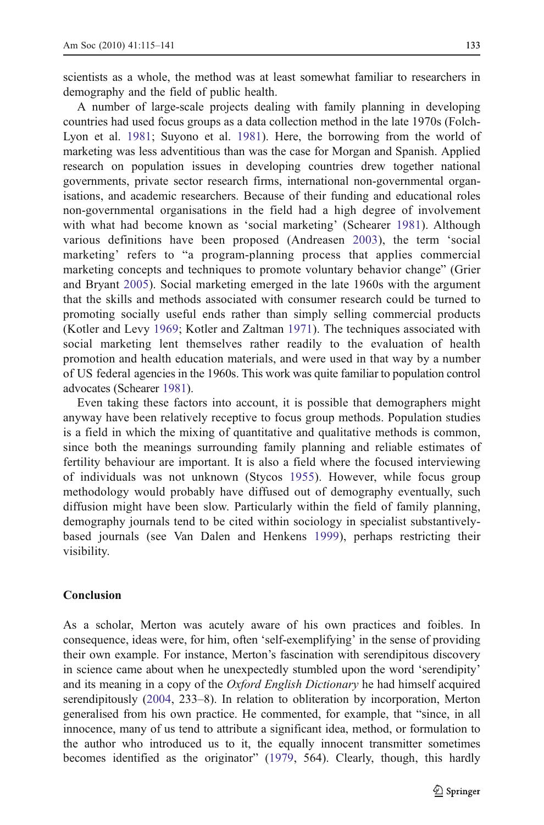scientists as a whole, the method was at least somewhat familiar to researchers in demography and the field of public health.

A number of large-scale projects dealing with family planning in developing countries had used focus groups as a data collection method in the late 1970s (Folch-Lyon et al. 1981; Suyono et al. 1981). Here, the borrowing from the world of marketing was less adventitious than was the case for Morgan and Spanish. Applied research on population issues in developing countries drew together national governments, private sector research firms, international non-governmental organisations, and academic researchers. Because of their funding and educational roles non-governmental organisations in the field had a high degree of involvement with what had become known as 'social marketing' (Schearer 1981). Although various definitions have been proposed (Andreasen 2003), the term 'social marketing' refers to "a program-planning process that applies commercial marketing concepts and techniques to promote voluntary behavior change" (Grier and Bryant 2005). Social marketing emerged in the late 1960s with the argument that the skills and methods associated with consumer research could be turned to promoting socially useful ends rather than simply selling commercial products (Kotler and Levy 1969; Kotler and Zaltman 1971). The techniques associated with social marketing lent themselves rather readily to the evaluation of health promotion and health education materials, and were used in that way by a number of US federal agencies in the 1960s. This work was quite familiar to population control advocates (Schearer 1981).

Even taking these factors into account, it is possible that demographers might anyway have been relatively receptive to focus group methods. Population studies is a field in which the mixing of quantitative and qualitative methods is common, since both the meanings surrounding family planning and reliable estimates of fertility behaviour are important. It is also a field where the focused interviewing of individuals was not unknown (Stycos 1955). However, while focus group methodology would probably have diffused out of demography eventually, such diffusion might have been slow. Particularly within the field of family planning, demography journals tend to be cited within sociology in specialist substantivelybased journals (see Van Dalen and Henkens 1999), perhaps restricting their visibility.

## Conclusion

As a scholar, Merton was acutely aware of his own practices and foibles. In consequence, ideas were, for him, often 'self-exemplifying' in the sense of providing their own example. For instance, Merton's fascination with serendipitous discovery in science came about when he unexpectedly stumbled upon the word 'serendipity' and its meaning in a copy of the *Oxford English Dictionary* he had himself acquired serendipitously (2004, 233–8). In relation to obliteration by incorporation, Merton generalised from his own practice. He commented, for example, that "since, in all innocence, many of us tend to attribute a significant idea, method, or formulation to the author who introduced us to it, the equally innocent transmitter sometimes becomes identified as the originator" (1979, 564). Clearly, though, this hardly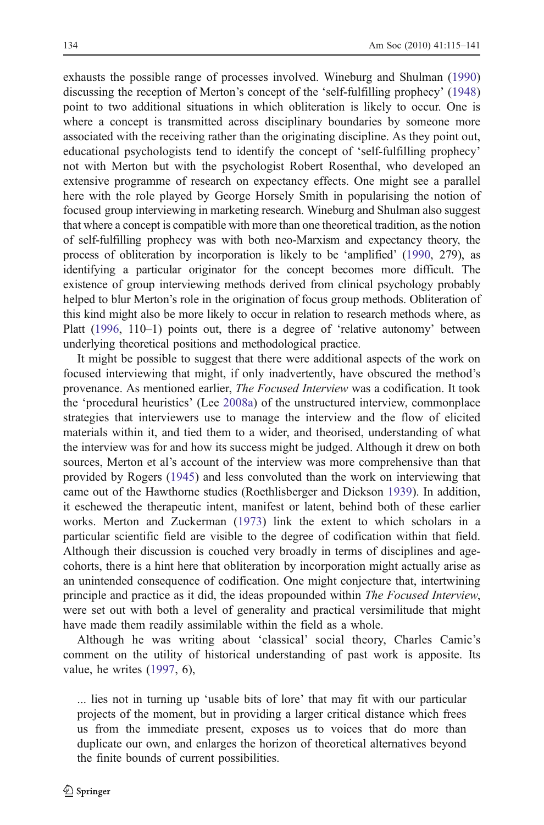exhausts the possible range of processes involved. Wineburg and Shulman (1990) discussing the reception of Merton's concept of the 'self-fulfilling prophecy' (1948) point to two additional situations in which obliteration is likely to occur. One is where a concept is transmitted across disciplinary boundaries by someone more associated with the receiving rather than the originating discipline. As they point out, educational psychologists tend to identify the concept of 'self-fulfilling prophecy' not with Merton but with the psychologist Robert Rosenthal, who developed an extensive programme of research on expectancy effects. One might see a parallel here with the role played by George Horsely Smith in popularising the notion of focused group interviewing in marketing research. Wineburg and Shulman also suggest that where a concept is compatible with more than one theoretical tradition, as the notion of self-fulfilling prophecy was with both neo-Marxism and expectancy theory, the process of obliteration by incorporation is likely to be 'amplified' (1990, 279), as identifying a particular originator for the concept becomes more difficult. The existence of group interviewing methods derived from clinical psychology probably helped to blur Merton's role in the origination of focus group methods. Obliteration of this kind might also be more likely to occur in relation to research methods where, as Platt (1996, 110–1) points out, there is a degree of 'relative autonomy' between underlying theoretical positions and methodological practice.

It might be possible to suggest that there were additional aspects of the work on focused interviewing that might, if only inadvertently, have obscured the method's provenance. As mentioned earlier, The Focused Interview was a codification. It took the 'procedural heuristics' (Lee 2008a) of the unstructured interview, commonplace strategies that interviewers use to manage the interview and the flow of elicited materials within it, and tied them to a wider, and theorised, understanding of what the interview was for and how its success might be judged. Although it drew on both sources, Merton et al's account of the interview was more comprehensive than that provided by Rogers (1945) and less convoluted than the work on interviewing that came out of the Hawthorne studies (Roethlisberger and Dickson 1939). In addition, it eschewed the therapeutic intent, manifest or latent, behind both of these earlier works. Merton and Zuckerman (1973) link the extent to which scholars in a particular scientific field are visible to the degree of codification within that field. Although their discussion is couched very broadly in terms of disciplines and agecohorts, there is a hint here that obliteration by incorporation might actually arise as an unintended consequence of codification. One might conjecture that, intertwining principle and practice as it did, the ideas propounded within The Focused Interview, were set out with both a level of generality and practical versimilitude that might have made them readily assimilable within the field as a whole.

Although he was writing about 'classical' social theory, Charles Camic's comment on the utility of historical understanding of past work is apposite. Its value, he writes (1997, 6),

... lies not in turning up 'usable bits of lore' that may fit with our particular projects of the moment, but in providing a larger critical distance which frees us from the immediate present, exposes us to voices that do more than duplicate our own, and enlarges the horizon of theoretical alternatives beyond the finite bounds of current possibilities.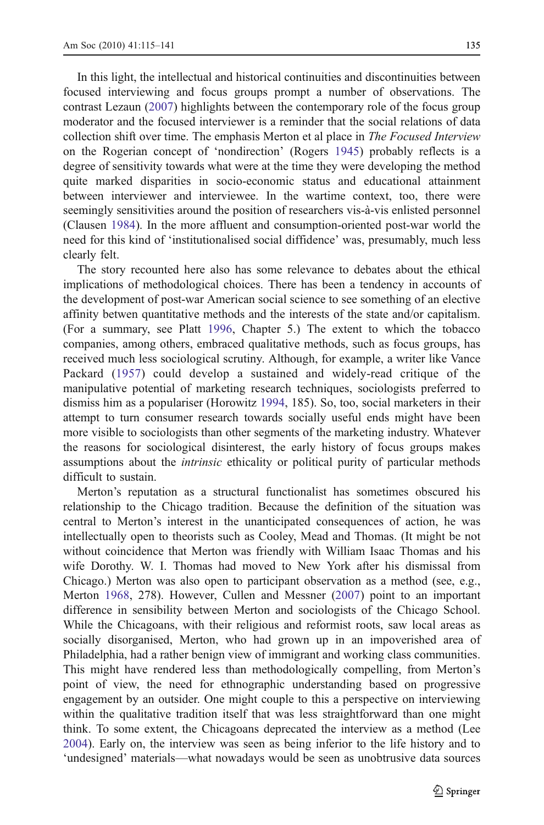In this light, the intellectual and historical continuities and discontinuities between focused interviewing and focus groups prompt a number of observations. The contrast Lezaun (2007) highlights between the contemporary role of the focus group moderator and the focused interviewer is a reminder that the social relations of data collection shift over time. The emphasis Merton et al place in The Focused Interview on the Rogerian concept of 'nondirection' (Rogers 1945) probably reflects is a degree of sensitivity towards what were at the time they were developing the method quite marked disparities in socio-economic status and educational attainment between interviewer and interviewee. In the wartime context, too, there were seemingly sensitivities around the position of researchers vis-à-vis enlisted personnel (Clausen 1984). In the more affluent and consumption-oriented post-war world the need for this kind of 'institutionalised social diffidence' was, presumably, much less clearly felt.

The story recounted here also has some relevance to debates about the ethical implications of methodological choices. There has been a tendency in accounts of the development of post-war American social science to see something of an elective affinity betwen quantitative methods and the interests of the state and/or capitalism. (For a summary, see Platt 1996, Chapter 5.) The extent to which the tobacco companies, among others, embraced qualitative methods, such as focus groups, has received much less sociological scrutiny. Although, for example, a writer like Vance Packard (1957) could develop a sustained and widely-read critique of the manipulative potential of marketing research techniques, sociologists preferred to dismiss him as a populariser (Horowitz 1994, 185). So, too, social marketers in their attempt to turn consumer research towards socially useful ends might have been more visible to sociologists than other segments of the marketing industry. Whatever the reasons for sociological disinterest, the early history of focus groups makes assumptions about the intrinsic ethicality or political purity of particular methods difficult to sustain.

Merton's reputation as a structural functionalist has sometimes obscured his relationship to the Chicago tradition. Because the definition of the situation was central to Merton's interest in the unanticipated consequences of action, he was intellectually open to theorists such as Cooley, Mead and Thomas. (It might be not without coincidence that Merton was friendly with William Isaac Thomas and his wife Dorothy. W. I. Thomas had moved to New York after his dismissal from Chicago.) Merton was also open to participant observation as a method (see, e.g., Merton 1968, 278). However, Cullen and Messner (2007) point to an important difference in sensibility between Merton and sociologists of the Chicago School. While the Chicagoans, with their religious and reformist roots, saw local areas as socially disorganised, Merton, who had grown up in an impoverished area of Philadelphia, had a rather benign view of immigrant and working class communities. This might have rendered less than methodologically compelling, from Merton's point of view, the need for ethnographic understanding based on progressive engagement by an outsider. One might couple to this a perspective on interviewing within the qualitative tradition itself that was less straightforward than one might think. To some extent, the Chicagoans deprecated the interview as a method (Lee 2004). Early on, the interview was seen as being inferior to the life history and to 'undesigned' materials—what nowadays would be seen as unobtrusive data sources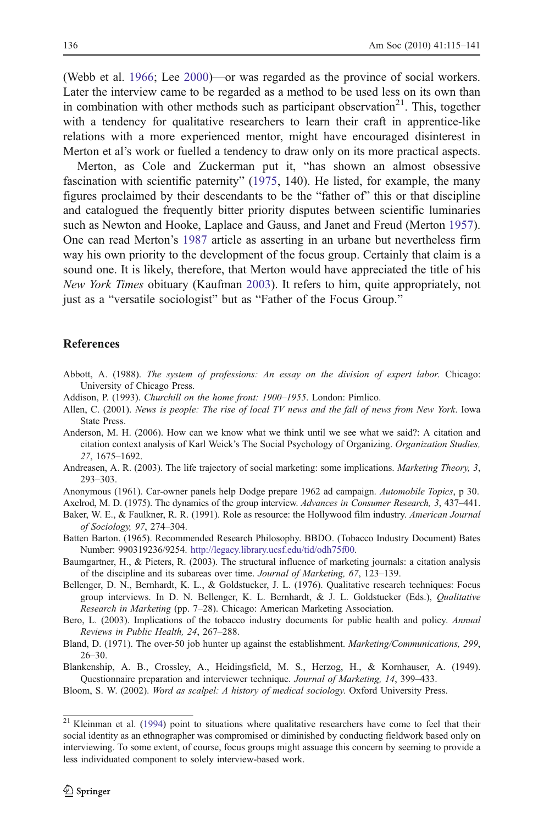(Webb et al. 1966; Lee 2000)—or was regarded as the province of social workers. Later the interview came to be regarded as a method to be used less on its own than in combination with other methods such as participant observation<sup>21</sup>. This, together with a tendency for qualitative researchers to learn their craft in apprentice-like relations with a more experienced mentor, might have encouraged disinterest in Merton et al's work or fuelled a tendency to draw only on its more practical aspects.

Merton, as Cole and Zuckerman put it, "has shown an almost obsessive fascination with scientific paternity" (1975, 140). He listed, for example, the many figures proclaimed by their descendants to be the "father of" this or that discipline and catalogued the frequently bitter priority disputes between scientific luminaries such as Newton and Hooke, Laplace and Gauss, and Janet and Freud (Merton 1957). One can read Merton's 1987 article as asserting in an urbane but nevertheless firm way his own priority to the development of the focus group. Certainly that claim is a sound one. It is likely, therefore, that Merton would have appreciated the title of his New York Times obituary (Kaufman 2003). It refers to him, quite appropriately, not just as a "versatile sociologist" but as "Father of the Focus Group."

## References

- Abbott, A. (1988). The system of professions: An essay on the division of expert labor. Chicago: University of Chicago Press.
- Addison, P. (1993). Churchill on the home front: 1900–1955. London: Pimlico.
- Allen, C. (2001). News is people: The rise of local TV news and the fall of news from New York. Iowa State Press.
- Anderson, M. H. (2006). How can we know what we think until we see what we said?: A citation and citation context analysis of Karl Weick's The Social Psychology of Organizing. Organization Studies, 27, 1675–1692.
- Andreasen, A. R. (2003). The life trajectory of social marketing: some implications. Marketing Theory, 3, 293–303.
- Anonymous (1961). Car-owner panels help Dodge prepare 1962 ad campaign. Automobile Topics, p 30.
- Axelrod, M. D. (1975). The dynamics of the group interview. Advances in Consumer Research, 3, 437–441.
- Baker, W. E., & Faulkner, R. R. (1991). Role as resource: the Hollywood film industry. American Journal of Sociology, 97, 274–304.
- Batten Barton. (1965). Recommended Research Philosophy. BBDO. (Tobacco Industry Document) Bates Number: 990319236/9254. http://legacy.library.ucsf.edu/tid/odh75f00.
- Baumgartner, H., & Pieters, R. (2003). The structural influence of marketing journals: a citation analysis of the discipline and its subareas over time. Journal of Marketing, 67, 123–139.
- Bellenger, D. N., Bernhardt, K. L., & Goldstucker, J. L. (1976). Qualitative research techniques: Focus group interviews. In D. N. Bellenger, K. L. Bernhardt, & J. L. Goldstucker (Eds.), Qualitative Research in Marketing (pp. 7–28). Chicago: American Marketing Association.
- Bero, L. (2003). Implications of the tobacco industry documents for public health and policy. Annual Reviews in Public Health, 24, 267–288.
- Bland, D. (1971). The over-50 job hunter up against the establishment. Marketing/Communications, 299, 26–30.
- Blankenship, A. B., Crossley, A., Heidingsfield, M. S., Herzog, H., & Kornhauser, A. (1949). Questionnaire preparation and interviewer technique. Journal of Marketing, 14, 399–433.

Bloom, S. W. (2002). Word as scalpel: A history of medical sociology. Oxford University Press.

<sup>&</sup>lt;sup>21</sup> Kleinman et al. (1994) point to situations where qualitative researchers have come to feel that their social identity as an ethnographer was compromised or diminished by conducting fieldwork based only on interviewing. To some extent, of course, focus groups might assuage this concern by seeming to provide a less individuated component to solely interview-based work.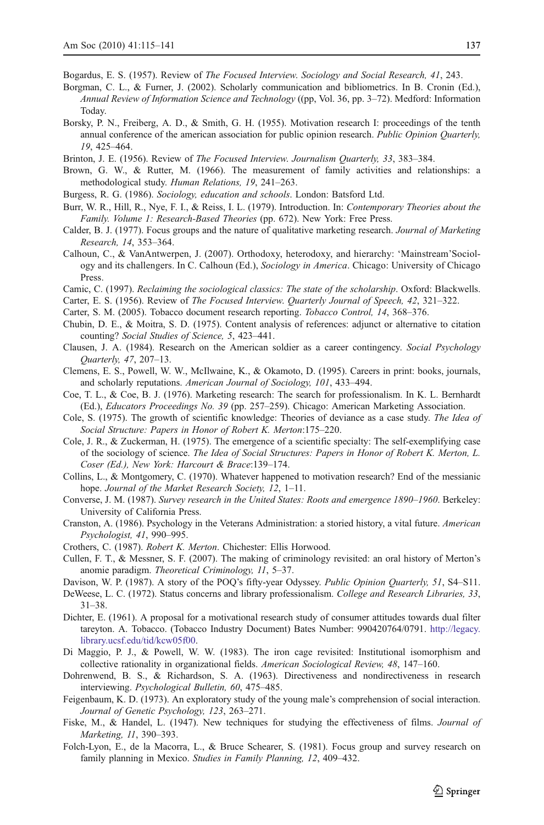- Bogardus, E. S. (1957). Review of The Focused Interview. Sociology and Social Research, 41, 243.
- Borgman, C. L., & Furner, J. (2002). Scholarly communication and bibliometrics. In B. Cronin (Ed.), Annual Review of Information Science and Technology ((pp, Vol. 36, pp. 3–72). Medford: Information Today.
- Borsky, P. N., Freiberg, A. D., & Smith, G. H. (1955). Motivation research I: proceedings of the tenth annual conference of the american association for public opinion research. Public Opinion Quarterly, 19, 425–464.

Brinton, J. E. (1956). Review of The Focused Interview. Journalism Quarterly, 33, 383–384.

- Brown, G. W., & Rutter, M. (1966). The measurement of family activities and relationships: a methodological study. Human Relations, 19, 241–263.
- Burgess, R. G. (1986). Sociology, education and schools. London: Batsford Ltd.
- Burr, W. R., Hill, R., Nye, F. I., & Reiss, I. L. (1979). Introduction. In: Contemporary Theories about the Family. Volume 1: Research-Based Theories (pp. 672). New York: Free Press.
- Calder, B. J. (1977). Focus groups and the nature of qualitative marketing research. Journal of Marketing Research, 14, 353–364.
- Calhoun, C., & VanAntwerpen, J. (2007). Orthodoxy, heterodoxy, and hierarchy: 'Mainstream'Sociology and its challengers. In C. Calhoun (Ed.), Sociology in America. Chicago: University of Chicago Press.
- Camic, C. (1997). Reclaiming the sociological classics: The state of the scholarship. Oxford: Blackwells.
- Carter, E. S. (1956). Review of The Focused Interview. Quarterly Journal of Speech, 42, 321–322.
- Carter, S. M. (2005). Tobacco document research reporting. Tobacco Control, 14, 368–376.
- Chubin, D. E., & Moitra, S. D. (1975). Content analysis of references: adjunct or alternative to citation counting? Social Studies of Science, 5, 423–441.
- Clausen, J. A. (1984). Research on the American soldier as a career contingency. Social Psychology Quarterly, 47, 207–13.
- Clemens, E. S., Powell, W. W., McIlwaine, K., & Okamoto, D. (1995). Careers in print: books, journals, and scholarly reputations. American Journal of Sociology, 101, 433–494.
- Coe, T. L., & Coe, B. J. (1976). Marketing research: The search for professionalism. In K. L. Bernhardt (Ed.), Educators Proceedings No. 39 (pp. 257–259). Chicago: American Marketing Association.
- Cole, S. (1975). The growth of scientific knowledge: Theories of deviance as a case study. The Idea of Social Structure: Papers in Honor of Robert K. Merton:175–220.
- Cole, J. R., & Zuckerman, H. (1975). The emergence of a scientific specialty: The self-exemplifying case of the sociology of science. The Idea of Social Structures: Papers in Honor of Robert K. Merton, L. Coser (Ed.), New York: Harcourt & Brace:139–174.
- Collins, L., & Montgomery, C. (1970). Whatever happened to motivation research? End of the messianic hope. Journal of the Market Research Society, 12, 1–11.
- Converse, J. M. (1987). Survey research in the United States: Roots and emergence 1890–1960. Berkeley: University of California Press.
- Cranston, A. (1986). Psychology in the Veterans Administration: a storied history, a vital future. American Psychologist, 41, 990–995.
- Crothers, C. (1987). Robert K. Merton. Chichester: Ellis Horwood.
- Cullen, F. T., & Messner, S. F. (2007). The making of criminology revisited: an oral history of Merton's anomie paradigm. Theoretical Criminology, 11, 5–37.
- Davison, W. P. (1987). A story of the POQ's fifty-year Odyssey. Public Opinion Quarterly, 51, S4–S11.
- DeWeese, L. C. (1972). Status concerns and library professionalism. College and Research Libraries, 33, 31–38.
- Dichter, E. (1961). A proposal for a motivational research study of consumer attitudes towards dual filter tareyton. A. Tobacco. (Tobacco Industry Document) Bates Number: 990420764/0791. [http://legacy.](http://legacy.library.ucsf.edu/tid/kcw05f00) [library.ucsf.edu/tid/kcw05f00](http://legacy.library.ucsf.edu/tid/kcw05f00).
- Di Maggio, P. J., & Powell, W. W. (1983). The iron cage revisited: Institutional isomorphism and collective rationality in organizational fields. American Sociological Review, 48, 147–160.
- Dohrenwend, B. S., & Richardson, S. A. (1963). Directiveness and nondirectiveness in research interviewing. Psychological Bulletin, 60, 475–485.
- Feigenbaum, K. D. (1973). An exploratory study of the young male's comprehension of social interaction. Journal of Genetic Psychology, 123, 263–271.
- Fiske, M., & Handel, L. (1947). New techniques for studying the effectiveness of films. Journal of Marketing, 11, 390–393.
- Folch-Lyon, E., de la Macorra, L., & Bruce Schearer, S. (1981). Focus group and survey research on family planning in Mexico. Studies in Family Planning, 12, 409–432.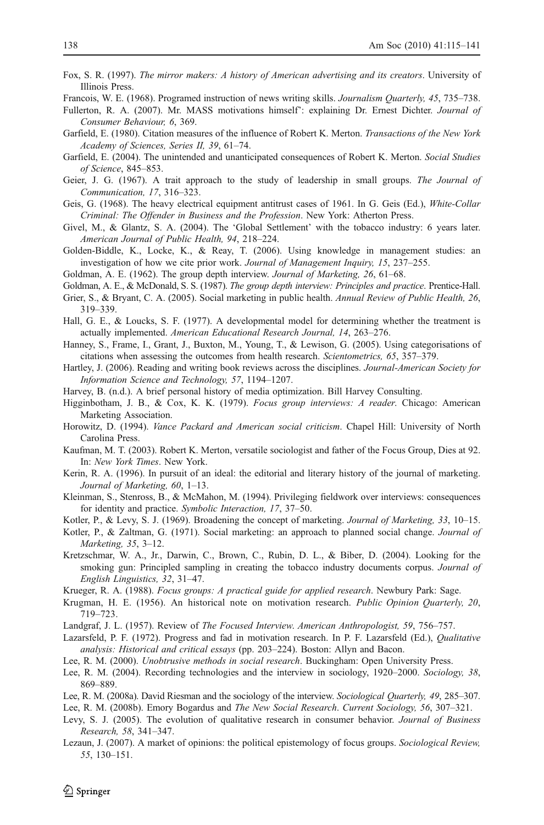Fox, S. R. (1997). The mirror makers: A history of American advertising and its creators. University of Illinois Press.

Francois, W. E. (1968). Programed instruction of news writing skills. Journalism Quarterly, 45, 735–738.

- Fullerton, R. A. (2007). Mr. MASS motivations himself': explaining Dr. Ernest Dichter. Journal of Consumer Behaviour, 6, 369.
- Garfield, E. (1980). Citation measures of the influence of Robert K. Merton. *Transactions of the New York* Academy of Sciences, Series II, 39, 61–74.
- Garfield, E. (2004). The unintended and unanticipated consequences of Robert K. Merton. Social Studies of Science, 845–853.
- Geier, J. G. (1967). A trait approach to the study of leadership in small groups. The Journal of Communication, 17, 316–323.
- Geis, G. (1968). The heavy electrical equipment antitrust cases of 1961. In G. Geis (Ed.), White-Collar Criminal: The Offender in Business and the Profession. New York: Atherton Press.
- Givel, M., & Glantz, S. A. (2004). The 'Global Settlement' with the tobacco industry: 6 years later. American Journal of Public Health, 94, 218–224.
- Golden-Biddle, K., Locke, K., & Reay, T. (2006). Using knowledge in management studies: an investigation of how we cite prior work. Journal of Management Inquiry, 15, 237–255.
- Goldman, A. E. (1962). The group depth interview. Journal of Marketing, 26, 61–68.
- Goldman, A. E., & McDonald, S. S. (1987). The group depth interview: Principles and practice. Prentice-Hall.
- Grier, S., & Bryant, C. A. (2005). Social marketing in public health. Annual Review of Public Health, 26, 319–339.
- Hall, G. E., & Loucks, S. F. (1977). A developmental model for determining whether the treatment is actually implemented. American Educational Research Journal, 14, 263–276.
- Hanney, S., Frame, I., Grant, J., Buxton, M., Young, T., & Lewison, G. (2005). Using categorisations of citations when assessing the outcomes from health research. Scientometrics, 65, 357–379.
- Hartley, J. (2006). Reading and writing book reviews across the disciplines. Journal-American Society for Information Science and Technology, 57, 1194–1207.
- Harvey, B. (n.d.). A brief personal history of media optimization. Bill Harvey Consulting.
- Higginbotham, J. B., & Cox, K. K. (1979). Focus group interviews: A reader. Chicago: American Marketing Association.
- Horowitz, D. (1994). *Vance Packard and American social criticism*. Chapel Hill: University of North Carolina Press.
- Kaufman, M. T. (2003). Robert K. Merton, versatile sociologist and father of the Focus Group, Dies at 92. In: New York Times. New York.
- Kerin, R. A. (1996). In pursuit of an ideal: the editorial and literary history of the journal of marketing. Journal of Marketing, 60, 1–13.
- Kleinman, S., Stenross, B., & McMahon, M. (1994). Privileging fieldwork over interviews: consequences for identity and practice. Symbolic Interaction, 17, 37–50.
- Kotler, P., & Levy, S. J. (1969). Broadening the concept of marketing. Journal of Marketing, 33, 10–15.
- Kotler, P., & Zaltman, G. (1971). Social marketing: an approach to planned social change. Journal of Marketing, 35, 3–12.
- Kretzschmar, W. A., Jr., Darwin, C., Brown, C., Rubin, D. L., & Biber, D. (2004). Looking for the smoking gun: Principled sampling in creating the tobacco industry documents corpus. Journal of English Linguistics, 32, 31–47.
- Krueger, R. A. (1988). Focus groups: A practical guide for applied research. Newbury Park: Sage.
- Krugman, H. E. (1956). An historical note on motivation research. Public Opinion Quarterly, 20, 719–723.
- Landgraf, J. L. (1957). Review of The Focused Interview. American Anthropologist, 59, 756–757.
- Lazarsfeld, P. F. (1972). Progress and fad in motivation research. In P. F. Lazarsfeld (Ed.), Qualitative analysis: Historical and critical essays (pp. 203–224). Boston: Allyn and Bacon.
- Lee, R. M. (2000). Unobtrusive methods in social research. Buckingham: Open University Press.
- Lee, R. M. (2004). Recording technologies and the interview in sociology, 1920–2000. Sociology, 38, 869–889.
- Lee, R. M. (2008a). David Riesman and the sociology of the interview. Sociological Quarterly, 49, 285-307.
- Lee, R. M. (2008b). Emory Bogardus and The New Social Research. Current Sociology, 56, 307–321.
- Levy, S. J. (2005). The evolution of qualitative research in consumer behavior. Journal of Business Research, 58, 341–347.
- Lezaun, J. (2007). A market of opinions: the political epistemology of focus groups. Sociological Review, 55, 130–151.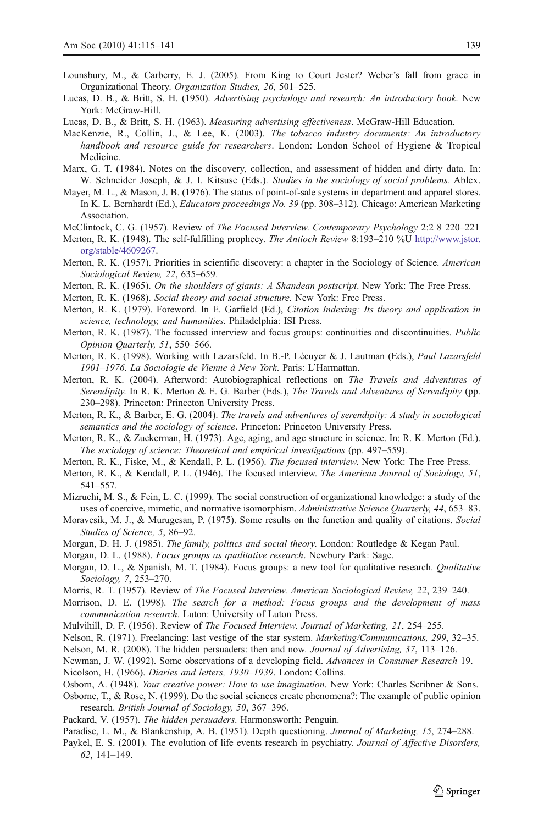- Lounsbury, M., & Carberry, E. J. (2005). From King to Court Jester? Weber's fall from grace in Organizational Theory. Organization Studies, 26, 501–525.
- Lucas, D. B., & Britt, S. H. (1950). Advertising psychology and research: An introductory book. New York: McGraw-Hill.
- Lucas, D. B., & Britt, S. H. (1963). Measuring advertising effectiveness. McGraw-Hill Education.
- MacKenzie, R., Collin, J., & Lee, K. (2003). The tobacco industry documents: An introductory handbook and resource guide for researchers. London: London School of Hygiene & Tropical Medicine.
- Marx, G. T. (1984). Notes on the discovery, collection, and assessment of hidden and dirty data. In: W. Schneider Joseph, & J. I. Kitsuse (Eds.). Studies in the sociology of social problems. Ablex.
- Mayer, M. L., & Mason, J. B. (1976). The status of point-of-sale systems in department and apparel stores. In K. L. Bernhardt (Ed.), Educators proceedings No. 39 (pp. 308–312). Chicago: American Marketing Association.
- McClintock, C. G. (1957). Review of The Focused Interview. Contemporary Psychology 2:2 8 220–221
- Merton, R. K. (1948). The self-fulfilling prophecy. The Antioch Review 8:193–210 %U [http://www.jstor.](http://www.jstor.org/stable/4609267) [org/stable/4609267.](http://www.jstor.org/stable/4609267)
- Merton, R. K. (1957). Priorities in scientific discovery: a chapter in the Sociology of Science. American Sociological Review, 22, 635–659.
- Merton, R. K. (1965). On the shoulders of giants: A Shandean postscript. New York: The Free Press.
- Merton, R. K. (1968). Social theory and social structure. New York: Free Press.
- Merton, R. K. (1979). Foreword. In E. Garfield (Ed.), *Citation Indexing: Its theory and application in* science, technology, and humanities. Philadelphia: ISI Press.
- Merton, R. K. (1987). The focussed interview and focus groups: continuities and discontinuities. Public Opinion Quarterly, 51, 550–566.
- Merton, R. K. (1998). Working with Lazarsfeld. In B.-P. Lécuyer & J. Lautman (Eds.), *Paul Lazarsfeld* 1901–1976. La Sociologie de Vienne à New York. Paris: L'Harmattan.
- Merton, R. K. (2004). Afterword: Autobiographical reflections on The Travels and Adventures of Serendipity. In R. K. Merton & E. G. Barber (Eds.), The Travels and Adventures of Serendipity (pp. 230–298). Princeton: Princeton University Press.
- Merton, R. K., & Barber, E. G. (2004). The travels and adventures of serendipity: A study in sociological semantics and the sociology of science. Princeton: Princeton University Press.
- Merton, R. K., & Zuckerman, H. (1973). Age, aging, and age structure in science. In: R. K. Merton (Ed.). The sociology of science: Theoretical and empirical investigations (pp. 497–559).
- Merton, R. K., Fiske, M., & Kendall, P. L. (1956). The focused interview. New York: The Free Press.
- Merton, R. K., & Kendall, P. L. (1946). The focused interview. The American Journal of Sociology, 51, 541–557.
- Mizruchi, M. S., & Fein, L. C. (1999). The social construction of organizational knowledge: a study of the uses of coercive, mimetic, and normative isomorphism. Administrative Science Quarterly, 44, 653–83.
- Moravcsik, M. J., & Murugesan, P. (1975). Some results on the function and quality of citations. Social Studies of Science, 5, 86–92.
- Morgan, D. H. J. (1985). The family, politics and social theory. London: Routledge & Kegan Paul.
- Morgan, D. L. (1988). Focus groups as qualitative research. Newbury Park: Sage.
- Morgan, D. L., & Spanish, M. T. (1984). Focus groups: a new tool for qualitative research. Qualitative Sociology, 7, 253–270.
- Morris, R. T. (1957). Review of The Focused Interview. American Sociological Review, 22, 239–240.
- Morrison, D. E. (1998). The search for a method: Focus groups and the development of mass communication research. Luton: University of Luton Press.
- Mulvihill, D. F. (1956). Review of *The Focused Interview. Journal of Marketing, 21*, 254–255.
- Nelson, R. (1971). Freelancing: last vestige of the star system. Marketing/Communications, 299, 32-35.
- Nelson, M. R. (2008). The hidden persuaders: then and now. Journal of Advertising, 37, 113–126.
- Newman, J. W. (1992). Some observations of a developing field. Advances in Consumer Research 19. Nicolson, H. (1966). Diaries and letters, 1930–1939. London: Collins.
- Osborn, A. (1948). Your creative power: How to use imagination. New York: Charles Scribner & Sons. Osborne, T., & Rose, N. (1999). Do the social sciences create phenomena?: The example of public opinion
- research. British Journal of Sociology, 50, 367–396. Packard, V. (1957). The hidden persuaders. Harmonsworth: Penguin.
- Paradise, L. M., & Blankenship, A. B. (1951). Depth questioning. Journal of Marketing, 15, 274-288.
- Paykel, E. S. (2001). The evolution of life events research in psychiatry. Journal of Affective Disorders, 62, 141–149.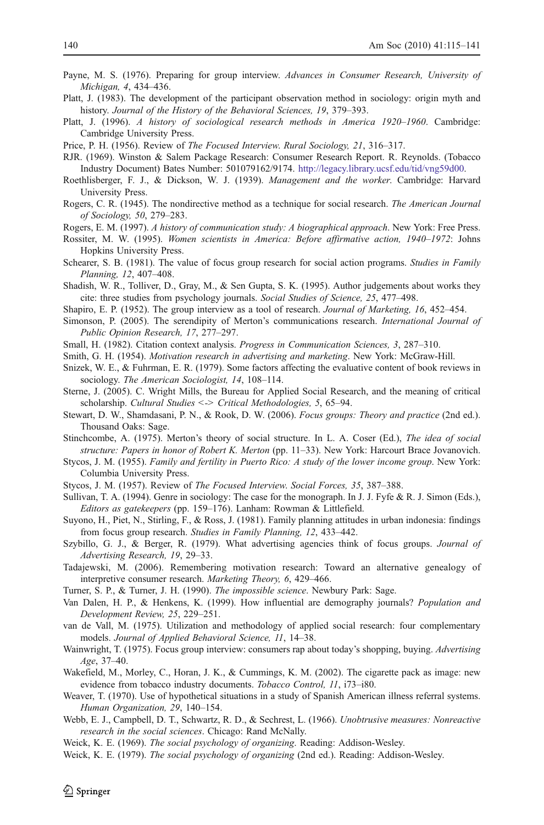- Payne, M. S. (1976). Preparing for group interview. Advances in Consumer Research, University of Michigan, 4, 434–436.
- Platt, J. (1983). The development of the participant observation method in sociology: origin myth and history. Journal of the History of the Behavioral Sciences, 19, 379–393.
- Platt, J. (1996). A history of sociological research methods in America 1920–1960. Cambridge: Cambridge University Press.
- Price, P. H. (1956). Review of The Focused Interview. Rural Sociology, 21, 316–317.
- RJR. (1969). Winston & Salem Package Research: Consumer Research Report. R. Reynolds. (Tobacco Industry Document) Bates Number: 501079162/9174. http://legacy.library.ucsf.edu/tid/vng59d00.
- Roethlisberger, F. J., & Dickson, W. J. (1939). Management and the worker. Cambridge: Harvard University Press.
- Rogers, C. R. (1945). The nondirective method as a technique for social research. The American Journal of Sociology, 50, 279–283.

Rogers, E. M. (1997). A history of communication study: A biographical approach. New York: Free Press.

- Rossiter, M. W. (1995). Women scientists in America: Before affirmative action, 1940–1972: Johns Hopkins University Press.
- Schearer, S. B. (1981). The value of focus group research for social action programs. Studies in Family Planning, 12, 407–408.
- Shadish, W. R., Tolliver, D., Gray, M., & Sen Gupta, S. K. (1995). Author judgements about works they cite: three studies from psychology journals. Social Studies of Science, 25, 477–498.
- Shapiro, E. P. (1952). The group interview as a tool of research. Journal of Marketing, 16, 452–454.
- Simonson, P. (2005). The serendipity of Merton's communications research. International Journal of Public Opinion Research, 17, 277–297.
- Small, H. (1982). Citation context analysis. Progress in Communication Sciences, 3, 287–310.
- Smith, G. H. (1954). Motivation research in advertising and marketing. New York: McGraw-Hill.
- Snizek, W. E., & Fuhrman, E. R. (1979). Some factors affecting the evaluative content of book reviews in sociology. The American Sociologist, 14, 108–114.
- Sterne, J. (2005). C. Wright Mills, the Bureau for Applied Social Research, and the meaning of critical scholarship. Cultural Studies <-> Critical Methodologies, 5, 65-94.
- Stewart, D. W., Shamdasani, P. N., & Rook, D. W. (2006). Focus groups: Theory and practice (2nd ed.). Thousand Oaks: Sage.
- Stinchcombe, A. (1975). Merton's theory of social structure. In L. A. Coser (Ed.), The idea of social structure: Papers in honor of Robert K. Merton (pp. 11–33). New York: Harcourt Brace Jovanovich.
- Stycos, J. M. (1955). Family and fertility in Puerto Rico: A study of the lower income group. New York: Columbia University Press.
- Stycos, J. M. (1957). Review of The Focused Interview. Social Forces, 35, 387–388.
- Sullivan, T. A. (1994). Genre in sociology: The case for the monograph. In J. J. Fyfe & R. J. Simon (Eds.), Editors as gatekeepers (pp. 159–176). Lanham: Rowman & Littlefield.
- Suyono, H., Piet, N., Stirling, F., & Ross, J. (1981). Family planning attitudes in urban indonesia: findings from focus group research. Studies in Family Planning, 12, 433–442.
- Szybillo, G. J., & Berger, R. (1979). What advertising agencies think of focus groups. Journal of Advertising Research, 19, 29–33.
- Tadajewski, M. (2006). Remembering motivation research: Toward an alternative genealogy of interpretive consumer research. Marketing Theory, 6, 429–466.
- Turner, S. P., & Turner, J. H. (1990). The impossible science. Newbury Park: Sage.
- Van Dalen, H. P., & Henkens, K. (1999). How influential are demography journals? Population and Development Review, 25, 229–251.
- van de Vall, M. (1975). Utilization and methodology of applied social research: four complementary models. Journal of Applied Behavioral Science, 11, 14–38.
- Wainwright, T. (1975). Focus group interview: consumers rap about today's shopping, buying. Advertising Age, 37–40.
- Wakefield, M., Morley, C., Horan, J. K., & Cummings, K. M. (2002). The cigarette pack as image: new evidence from tobacco industry documents. Tobacco Control, 11, i73–i80.
- Weaver, T. (1970). Use of hypothetical situations in a study of Spanish American illness referral systems. Human Organization, 29, 140–154.
- Webb, E. J., Campbell, D. T., Schwartz, R. D., & Sechrest, L. (1966). Unobtrusive measures: Nonreactive research in the social sciences. Chicago: Rand McNally.
- Weick, K. E. (1969). The social psychology of organizing. Reading: Addison-Wesley.
- Weick, K. E. (1979). The social psychology of organizing (2nd ed.). Reading: Addison-Wesley.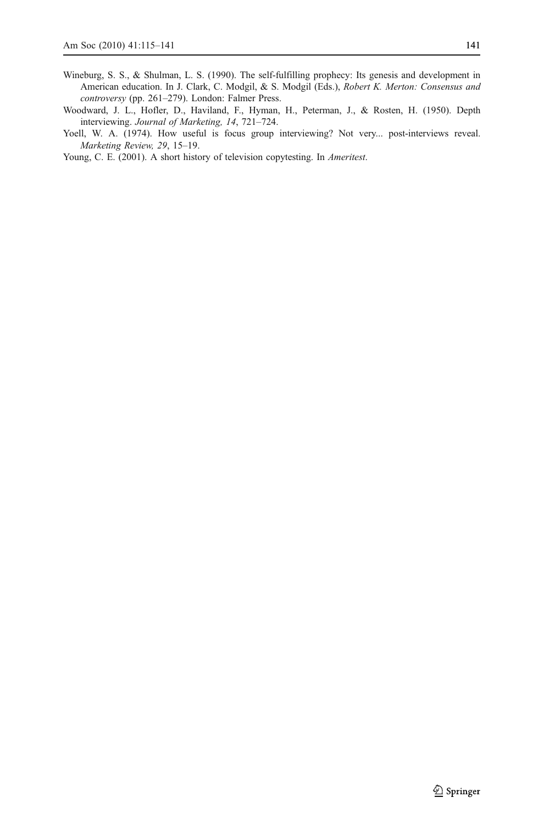- Wineburg, S. S., & Shulman, L. S. (1990). The self-fulfilling prophecy: Its genesis and development in American education. In J. Clark, C. Modgil, & S. Modgil (Eds.), Robert K. Merton: Consensus and controversy (pp. 261–279). London: Falmer Press.
- Woodward, J. L., Hofler, D., Haviland, F., Hyman, H., Peterman, J., & Rosten, H. (1950). Depth interviewing. Journal of Marketing, 14, 721–724.
- Yoell, W. A. (1974). How useful is focus group interviewing? Not very... post-interviews reveal. Marketing Review, 29, 15–19.

Young, C. E. (2001). A short history of television copytesting. In Ameritest.